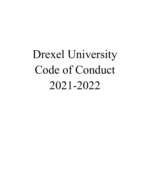# Drexel University Code of Conduct 2021-2022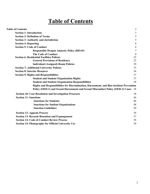# **Table of Contents**

<span id="page-1-0"></span>

| <b>Table of Contents</b>                                                                 | $\overline{c}$ |
|------------------------------------------------------------------------------------------|----------------|
| <b>Section 1: Introduction</b>                                                           | 3              |
| <b>Section 2: Definition of Terms</b>                                                    | 3              |
| <b>Section 3: Authority and Jurisdiction</b>                                             | 5              |
| <b>Section 4: Reporting</b>                                                              | 6              |
| <b>Section 5: Code of Conduct</b>                                                        | 6              |
| <b>Responsible Dragon Amnesty Policy (RDAP)</b>                                          | 7              |
| <b>The Code of Conduct</b>                                                               | 8              |
| <b>Section 6: Residential Facilities Policies</b>                                        | 22             |
| <b>General Provisions of Residency</b>                                                   | 22             |
| <b>Individual (Assigned) Room Policies</b>                                               | 29             |
| <b>Section 7: Additional University Policies</b>                                         | 33             |
| <b>Section 8: Interim Measures</b>                                                       | 36             |
| <b>Section 9: Rights and Responsibilities</b>                                            | 37             |
| <b>Student and Student Organization Rights</b>                                           | 37             |
| <b>Student and Student Organization Responsibilities</b>                                 | 38             |
| Rights and Responsibilities for Discrimination, Harassment, and Bias Incident Prevention |                |
| Policy (OED-1) and Sexual Harassment and Sexual Misconduct Policy (OED-3) Cases          | - 38           |
| <b>Section 10: Case Resolution and Investigation Processes</b>                           | 38             |
| <b>Section 11: Sanctions</b>                                                             | 46             |
| <b>Sanctions for Students</b>                                                            | 46             |
| <b>Sanctions for Student Organizations</b>                                               | 48             |
| <b>Sanction Guidelines</b>                                                               | 50             |
| <b>Section 12: Appeals Process</b>                                                       | 54             |
| <b>Section 13: Records Retention and Expungement</b>                                     | 57             |
| <b>Section 14: Code of Conduct Review Process</b>                                        | 58             |
| <b>Section 15: Photography for Official University Use</b>                               | 59             |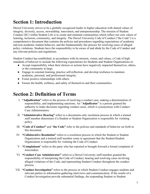# <span id="page-2-0"></span>**Section 1: Introduction**

Drexel University strives to be a globally recognized leader in higher education with shared values of integrity, diversity, access, stewardship, innovation, and entrepreneurship. The mission of Student Conduct (SC) within Student Life is to create and maintain communities which reflect our core values of learning, inclusion, community, and integrity. The Drexel University Code of Conduct ("the Code") is a comprehensive document that contains the policies and procedures regarding expectations of academic and non-academic student behavior, and the fundamentally fair process for resolving cases of alleged policy violations. Students have the responsibility to be aware of and abide by the Code of Conduct and any relevant policies and regulations.

Student Conduct has established, in accordance with its mission, vision, and values, a Code of high standards of behavior to include the following expectations for Students and Student Organizations to:

- Accept responsibility when their choices or actions have negatively impacted themselves, others, or the community at large.
- Engage in constant learning, practice self-reflection, and develop resilience to maintain academic, personal, and professional integrity.
- Foster positive relationships with others.
- Ensure the health, wellness, and safety of themselves and their communities.

# <span id="page-2-1"></span>**Section 2: Definition of Terms**

- I. **"Adjudication"** refers to the process of resolving a conduct case, making a determination of responsibility, and implementing sanctions. An "**Adjudicator**" is a person granted the authority to make decisions regarding conduct cases, which is synonymous with Conduct Case Administrators.
- II. **"Administrative Hearing"** refers to a documents-only resolution process in which a trained staff member determines if a Student or Student Organization is responsible for violating policy.
- III. **"Code of Conduct"** and "**the Code"** refer to the policies and standards of behavior set forth in this document.
- IV. **"Collaborative Resolution"** refers to a resolution process in which the Student or Student Organization and a trained staff member come to agreement that the Student/Student Organization is responsible for violating the Code of Conduct.
- V. **"Complainant**" refers to the party who has reported or brought forward a formal complaint of misconduct.
- VI. **"Conduct Case Administrator"** refers to a Drexel University staff member granted the responsibility of interpreting the Code of Conduct, hearing and resolving cases involving alleged violations of the Code, and representing Student Conduct throughout the conduct process.
- VII. **"Conduct Investigation"** refers to the process in which Student Conduct engages students and relevant parties in information-gathering interviews and communication. If the results of a Conduct Investigation provide substantial findings, the responding Student or Student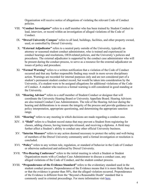Organization will receive notice of allegations of violating the relevant Code of Conduct policies.

- VIII. **"Conduct Investigator"** refers to a staff member who has been trained by Student Conduct to lead, interview, or record within an investigation of alleged violations of the Code of Conduct.
	- IX. **"Drexel University Campus**" refers to all land, buildings, facilities, and other property owned, used, or controlled by Drexel University.
	- X. **"External Adjudicator"** refers to a neutral party outside of the University, typically an attorney or seasoned student conduct administrator, who is trained and experienced in conduct hearings and resolutions, OED-related policies, and the University's policies and procedures. The external adjudicator is supported by the conduct case administrator who will be present during the conduct process, to serve as a resource for the external adjudicator on issues of policy and procedure.
	- XI. **"Formal Warning"** refers to a written notification that a violation of the Code of Conduct occurred and that any further responsible finding may result in more severe disciplinary action. Warnings are recorded for internal purposes only and are not considered part of a student's permanent student conduct record, but would be taken into consideration by the University, if a student were to be assigned allegations for additional violations of the Code of Conduct. A student who receives a formal warning is still considered in good standing at the University.
- XII. **"Hearing Advisor"** refers to a staff member of Student Conduct or designee that will coordinate the University Hearing Board or University Appellate Board. Hearing Advisors are also trained Conduct Case Administrators. The role of the Hearing Advisor during the hearing and deliberations is to ensure the integrity of the process and provide guidance as to policy interpretation, appropriate questioning, and determining the appropriate sanction range.
- XIII. **"Hearing"** refers to any meeting in which decisions are made regarding a conduct case.
- XIV. A **"Hold"** refers to a Student record status that may prevent a Student from registering for classes, adding classes, having transcripts released, and receiving a diploma. A Hold may further affect a Student's ability to conduct any other official University business.
- XV. **"Interim Measure"** refers to any action deemed necessary to protect the safety and well-being of members of the Drexel University community until a formal investigation or resolution is concluded.
- XVI. **"Policy"** refers to any written rule, regulation, or standard of behavior in the Code of Conduct or otherwise authorized and enforced by Drexel University.
- XVII. **"Pre-Hearing Conference"** refers to the initial meeting in which a Student or Student Organization meets with a Conduct Case Administrator to discuss a conduct case, any alleged violations of the Code of Conduct, and the student conduct process.
- XVIII. **"Preponderance of the Evidence Standard"** refers to the evidentiary standard used in the student conduct process. Preponderance of the Evidence means that it is more likely than not, or that the evidence is greater than 50%, that the alleged violation occurred. Preponderance of the Evidence is different from the "Beyond a Reasonable Doubt" standard that is commonly used in criminal proceedings. For more information visit [here.](https://www.theasca.org/files/The%20Preponderance%20of%20Evidence%20Standard.pdf)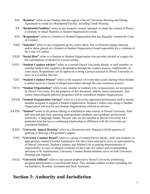- XIX. "**Resident**" refers to any Student that has signed a Drexel University Housing and Dining Agreement to reside in a Residential Facility, including Greek Housing.
- XX. **"Residential Facilities**" refers to any property owned, operated, or under the control of Drexel University in which Students or Student Organizations reside.
- XXI. **"Respondent"** refers to a Student or Student Organization that has allegedly violated the Code of Conduct.
- XXII. **"Sanction"** refers to any assignment given, action taken, fine or financial charge imposed, and/or status placed on a Student or Student Organization found responsible for a violation of the Code of Conduct.
- XXIII. **"Social Host"** refers to a Student or Student Organization who provides alcohol or a space for the consumption of alcohol in a social setting.
- XXIV. **"Student Conduct Advisor"** refers to a trained Drexel University faculty or staff member, or enrolled student who supports a Respondent through the conduct process. Additionally, in some cases, Respondents can be approved to bring a person external to Drexel University to serve as a Conduct Advisor.
- XXV. **"Student Conduct Process"** refers to the sequence of events that occurs starting when Student Conduct receives a report of alleged misconduct through the case resolution process.
- XXVI. **"Student Organization"** refers to any number of students who, in association, are recognized by Drexel University. For the purposes of this document, athletic teams (intramural, club, varsity intercollegiate athletics programs) will be considered Student Organizations.
- XXVII. **"Student Organization Advisor"** refers to a University-appointed professional staff or faculty member assigned to support a Student Organization. Student Conduct may assign a Student Organization Advisor for any Student Organizations without an advisor.
- XXVIII. **"Student"** refers to all persons taking or scheduled to take courses at Drexel University, both full-time and part-time, pursuing undergraduate, graduate, post graduate, professional, certificate, or language studies. Persons who are not enrolled at Drexel University for a particular term but have a continuing relationship or affiliation with the University are considered Students.
	- XXIX. **"University Appeal Hearing"** refers to a documents-only Hearing with the purpose of granting or denying a Respondent's appeal.
	- XXX. **"University Conduct Board"** refers to a group of trained Drexel faculty, staff, and students, or appropriately trained External Adjudicator who have been selected to serve as representatives of Drexel University, Student Conduct, and Student Life in making determinations of responsibility in cases of alleged violations of the Code of Conduct and recommending sanctions to be implemented. University Conduct Board members serve on both University Hearings and Appeals.
	- XXXI. **"University Official"** refers to any person employed by Drexel University performing assigned administrative or professional duties. This includes student workers including, but not limited to, Resident Assistants and Desk Assistants.

# <span id="page-4-0"></span>**Section 3: Authority and Jurisdiction**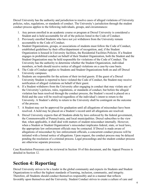Drexel University has the authority and jurisdiction to resolve cases of alleged violations of University policies, rules, regulations, or standards of conduct. The University's jurisdiction through the student conduct process applies to the following individuals, groups, and circumstances:

- 1. Any person enrolled in an academic course or program at Drexel University is considered a Student and is held accountable for all of the policies listed in the Code of Conduct.
- 2. Previously enrolled Students who have not yet withdrawn from the University remain accountable to the Code of Conduct.
- 3. Student Organizations, groups, or associations of students must follow the Code of Conduct, established guidelines by their office/department of recognition, and, if the Student Organization is housed in University facilities, the Residential Facilities Policies. If a Student engages in prohibited conduct on behalf of their Student Organization, both the Student and the Student Organization may be held responsible for violations of the Code of Conduct. The University has the authority to determine whether the Student Organization, individual members, or both should receive notice of alleged violations on a case-by-case basis.
- 4. The Code of Conduct applies to Students and Student Organizations both on and off Drexel University campuses.
- 5. Students are responsible for the actions of their invited guests. If the guest of a Drexel University Student is reported to have violated the Code of Conduct, the Student may receive notification of alleged violations on behalf of their guest.
- 6. If a Student withdraws from the University after engaging in conduct that may violate any of the University's policies, rules, regulations, or standards of conduct, but before the alleged violation has been resolved through the conduct process, the Student's record is placed on a Hold and the case will be resolved regardless of the individual's intent to return to the University. A Student's ability to return to the University shall be contingent on the outcome of the process.
- 7. A Student may not be approved for graduation until all allegations of misconduct have been resolved. A hold may be placed on a Student's record until all allegations are resolved.
- 8. Drexel University expects that all Students abide by laws enforced by the federal government, the Commonwealth of Pennsylvania, and local municipalities. Drexel subscribes to the view that, when applicable, it shall deal with matters of student misconduct internally. However, when a Student or Student Organization's misconduct implicates federal, state, or local laws, the appropriate law enforcement officials may be contacted. If Drexel is made aware of allegations of misconduct by law enforcement officials, a concurrent conduct process will be initiated with a formal notice of allegations. Upon request, the conduct process may be delayed pending the resolution of a criminal process. Legal proceedings and the student conduct process are otherwise separate processes.

Case Resolution Processes can be reviewed in Section 10 of this document, and the Appeal Process is detailed in Section 12.

# <span id="page-5-0"></span>**Section 4: Reporting**

Drexel University strives to be a leader in the global community and expects its Students and Student Organizations to reflect the highest standards of learning, inclusion, community, and integrity. Therefore, all Students should conduct themselves responsibly and in a manner that reflects favorably upon themselves and the University. Student Conduct strives to create a culture of care and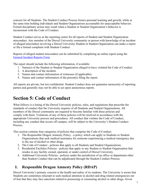concern for all Students. The Student Conduct Process fosters personal learning and growth, while at the same time holding individuals and Student Organizations accountable for unacceptable behavior. Formal disciplinary action may result when a Student or Student Organization's behavior is inconsistent with the Code of Conduct.

Student Conduct serves as the reporting center for all reports of Student and Student Organization misconduct. Any member of the Drexel University community or person with knowledge of an incident of alleged misconduct involving a Drexel University Student or Student Organization can make a report or file a formal complaint with Student Conduct.

Reports of alleged student misconduct can be submitted by completing an online report using the [General Incident Reports](https://cm.maxient.com/reportingform.php?DrexelUniv&layout_id=1) Form.

The report should include the following information, if available:

- 1. Name(s) of the Student or Student Organization alleged to have violated the Code of Conduct.
- 2. A description of the incident.
- 3. Names and contact information of witnesses (if applicable).
- 4. Names and contact information of the person(s) filing the report.

All reports are private, but not confidential. Student Conduct does not guarantee anonymity of reporting parties and generally may not be able to act upon anonymous reports.

# <span id="page-6-0"></span>**Section 5: Code of Conduct**

What follows is a listing of the Drexel University policies, rules, and regulations that prescribe the standards of conduct that the University requires of all Students and Student Organizations. All members of the Drexel community are required to become familiar with these policies and comply with them. Violations of any of these policies will be resolved in accordance with the appropriate University process and procedures. All conduct that violates the Code of Conduct, including any conduct that occurs off campus, will be subject to the University's Student Conduct Process.

This section contains four categories of policies that comprise the Code of Conduct.

- 1. The Responsible Dragon Amnesty Policy a policy which can apply to Students or Student Organizations that seek medical assistance for someone experiencing a medical emergency due to the use of alcohol or other drugs.
- 2. The Code of Conduct policies that apply to all Students and Student Organizations.
- 3. Residential Facilities Policies policies that apply to any Student or Student Organization that resides in any facility owned, operated, or under control of Drexel University.
- 4. Additional University Policies policies under the jurisdiction of an office or department other than Student Conduct that can be adjudicated through the Student Conduct Process.

# <span id="page-6-1"></span>**I. Responsible Dragon Amnesty Policy (RDAP)**

Drexel University's primary concern is the health and safety of its students. The University is aware that Students are sometimes reluctant to seek medical attention in alcohol and drug related emergencies out of fear that they may face sanctions related to possessing or consuming alcohol or other drugs. Given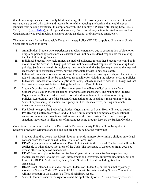that these emergencies are potentially life-threatening, Drexel University seeks to create a culture of trust and care paired with safety and responsibility while reducing any barriers that would prevent students from seeking assistance. In compliance with The Timothy J. Piazza Anti-Hazing Law, C.S. § 2810, et seq. [\(Safe Harbor\)](https://www.legis.state.pa.us/cfdocs/legis/LI/consCheck.cfm?txtType=HTM&ttl=18&div=0&chpt=28), RDAP provides amnesty from disciplinary action for Students or Student Organizations who seek medical assistance during an alcohol or drug related emergency.

The requirements for the Responsible Dragon Amnesty Policy (RDAP) to apply to Students or Student Organizations are as follows:

- I. An individual Student who experiences a medical emergency due to consumption of alcohol or drugs and personally seeks medical assistance will not be considered responsible for violating the Alcohol or Drug Policies.
- II. Individual Students who seek immediate medical assistance for another Student who could be in violation of the Alcohol or Drugs policies will not be considered responsible for violating these policies. Students who call for assistance must remain with the Student experiencing the medical emergency until assistance arrives, barring immediate threats to personal safety.
- III. Individual Students who share information to assist with contact tracing efforts, or other COVID related information will not be considered responsible for violating the Alcohol or Drug Policies.
- IV. Individual Students who report allegations of hazing activity related to Alcohol or Drugs will not be considered responsible for violating the Alcohol or Drug Policies.
- V. Student Organizations and Social Hosts must seek immediate medical assistance for a Student who is experiencing an alcohol or drug related emergency. The responding Student Organization or Social Host will not be considered in violation of the Alcohol or Drug Policies. Representatives of the Student Organization or the social host must remain with the Student experiencing the medical emergency until assistance arrives, barring immediate threats to personal safety.
- VI. For RDAP to apply, the Student(s), Student Organization, or Social Host will need to attend a Pre-Hearing Conference with a Conduct Case Administrator and complete any educational and/or wellness related sanctions. Failure to attend the Pre-Hearing Conference or complete sanctions may result in allegations of misconduct being brought forward by Student Conduct.

Conditions or examples in which the Responsible Dragon Amnesty Policy will not be applied to Students or Student Organizations include, but are not limited, to the following:

- I. Students should be aware that RDAP does not provide amnesty for criminal, civil, or other legal consequences for violations of Federal, State, or Local laws.
- II. RDAP only applies to the Alcohol and Drug Policies within the Code of Conduct and will not be applicable to other alleged violations of the Code. The use/abuse of alcohol or drugs does not excuse other examples of misconduct.
- III. RDAP does not apply to Students or Student Organizations when a Student experiencing a medical emergency is found by Law Enforcement or a University employee (including, but not limited to, DUPD, Public Safety, faculty/staff, Student Life staff including Resident Assistants).
- IV. RDAP is not intended to shield or protect Students or Student Organizations that repeatedly violate the Student Code of Conduct. RDAP cases will be maintained by Student Conduct but will not be a part of the Student's official disciplinary record.
- V. Student Conduct reserves the right to revisit the applicability of RDAP on a case-by-case basis.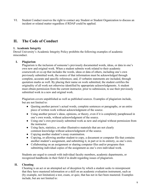VI. Student Conduct reserves the right to contact any Student or Student Organization to discuss an incident or related matter regardless if RDAP could be applied.

# **II. The Code of Conduct**

### **1. Academic Integrity**

Drexel University's Academic Integrity Policy prohibits the following examples of academic misconduct.

# **I. Plagiarism**

Plagiarism is the inclusion of someone's previously documented words, ideas, or data in one's own new and original work. When a student submits work related to their academic coursework or co-op that includes the words, ideas or data of others, including one's own previously submitted work, the source of that information must be acknowledged through complete, accurate and specific references; and, if verbatim statements are included, through quotation marks as well. By placing their name on work submitted, the student certifies the originality of all work not otherwise identified by appropriate acknowledgments. A student must obtain permission from the current instructor, prior to submission, to use their previously submitted work in a new and original work.

Plagiarism covers unpublished as well as published sources. Examples of plagiarism include, but are not limited to:

- Quoting another person's actual words, complete sentences or paragraphs, or an entire piece of written work without acknowledgment of the source.
- Using another person's ideas, opinions, or theory, even if it is completely paraphrased in one's own words, without acknowledgment of the source.
- Using one's own previously submitted work as new and original without permission from the instructor.
- Using facts, statistics, or other illustrative materials that are not clearly common knowledge without acknowledgment of the source.
- Copying another student's essay examination.
- Copying, or allowing another student to copy, a document or computer file that contains another student's assignment, and submitting it, in part or in its entirety, as one's own.
- Collaborating on an assignment or sharing computer files and/or programs then submitting individual copies of the assignment as one's own individual work.

Students are urged to consult with individual faculty members, academic departments, or recognized handbooks in their field if in doubt regarding issues of plagiarism.

# **II. Cheating**

Cheating is an act or an attempted act of deception by which a student seeks to misrepresent that they have mastered information or a skill on an academic evaluation instrument, such as (by example, not limitation) a test, exam, or quiz, that has not in fact been mastered. Examples include, but are not limited to: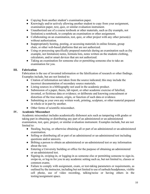- Copying from another student's examination paper.
- Knowingly and/or actively allowing another student to copy from your assignment, examination paper, text, quiz, or similar evaluation instrument.
- Unauthorized use of a course textbook or other materials, such as (by example, not limitation) a notebook, to complete an examination or other assignment.
- Collaborating on an examination, test, quiz, or other project with any other person(s) without authorization.
- Inappropriately hosting, posting, or accessing materials in online forums, group chats, or other web-based platforms that are not authorized.
- Using or processing specifically prepared materials during an examination such as (by example, not limitation) notes, formula lists, notes written on the students clothing, calculators, and/or smart devices that are not authorized.
- Taking an examination for someone else or permitting someone else to take an examination for you.

# **III. Fabrication**

Fabrication is the use of invented information or the falsification of research or other findings. Examples include, but are not limited to:

- Citation of information not taken from the source indicated; this may include the incorrect documentation of secondary source materials.
- Listing sources in a bibliography not used in the academic product.
- Submission of a paper, thesis, lab report, or other academic exercise of falsified, invented, or fictitious data or evidence; or deliberate and knowing concealment or distortion of the true nature, origin, or function of such data or evidence.
- Submitting as your own any written work, printing, sculpture, or other material prepared in whole or in part by another.
- Other forms of scientific misconduct.

# **IV. Academic Misconduct**

Academic misconduct includes academically dishonest acts such as tampering with grades or taking part in obtaining or distributing any part of an administered or un-administered examination, test, quiz, project, or similar evaluation instrument. Examples include, but are not limited to:

- Stealing, buying, or otherwise obtaining all or part of an administered or un-administered examination.
- Selling or distributing all or part of an administered or un-administered test including questions and/or answers.
- Bribing a person to obtain an administered or un-administered test or any information about the test.
- Entering a University building or office for the purpose of obtaining an administered or un-administered test.
- Signing-in, swiping-in, or logging-in as someone else or permitting someone to sign-in, swipe-in, or log-in for you in any academic setting such as, but not limited to, classes or common exams.
- Failure to comply with assignment, exam, or test-taking parameters or requirements, as outlined by the instructor, including but not limited to use of earbuds/headphones, visible cell phone, use of video recording, talking/noise or having others in the testing/assignment space.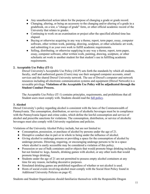- Any unauthorized action taken for the purpose of changing a grade or grade record.
- Changing, altering, or being an accessory to the changing and/or altering of a grade in a gradebook, on a test, a "change of grade" form, or other official academic record of the University that relates to grades.
- Continuing to work on an examination or project after the specified allotted time has elapsed.
- Buying or otherwise acquiring in any way a theme, report, term paper, essay, computer software, other written work, painting, drawing, sculpture, or other scholastic art work, and submitting it as your own work to fulfill academic requirements.
- Selling, distributing, or otherwise supplying in any way a theme, report, term paper, essay, computer software, other written work, painting, drawing, sculpture, or other scholastic art work to another student for that student's use in fulfilling academic requirements.

# **2. Acceptable Use Policy (IT-1)**

Drexel University's Acceptable Use Policy (AUP) sets forth the standards by which all students, faculty, staff and authorized guests (Users) may use their assigned computer accounts, email services and the shared Drexel University network. The use of Drexel's computer and network resources including all electronic communication systems and equipment (Drexel Network) is a revocable privilege. **Violations of the Acceptable Use Policy will be adjudicated through the Student Conduct Process.**

The Acceptable Use Policy (IT-1) contains principles, requirements, and prohibitions that all Student users must comply with. Students should read the <u>full policy</u>.

#### **3. Alcohol**

Drexel University's policy regarding alcohol is consistent with the laws of the Commonwealth of Pennsylvania. The consumption, distribution, or service of alcoholic beverages must be in compliance with the Pennsylvania liquor and crime codes, which define the lawful consumption and service of alcohol and prescribe sanctions for violations. The consumption, distribution, or service of alcoholic beverages must also comply with University regulations and policies.

Violations of the University Alcohol Policy include, but are not limited to:

- Consumption, possession, or purchase of alcohol by persons under the age of 21.
- Disruptive conduct due in part or in whole to being under the influence of alcohol.
- Giving alcohol to underage persons or providing a space for the consumption of alcohol by underage persons. Directing, requiring, or encouraging underage persons to be in a space where alcohol is easily accessible may be considered a violation of this policy.
- Possession or use of bulk containers and/or objects that would promote binge drinking including, but not limited to: kegs, funnels, drinking games with alcohol, or any other tools that would promote binge drinking.
- Students under the age of 21 are not permitted to possess empty alcohol containers at any time for any reason, including decorative purposes.
- Simulated drinking games are prohibited regardless of whether or not alcohol is used.
- Hosts of social events involving alcohol must comply with the Social Host Policy found in Additional University Policies on page 42.

Students and Student Organizations should familiarize themselves with the Responsible Dragon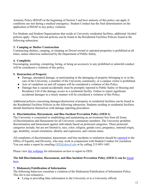Amnesty Policy (RDAP) at the beginning of Section 5 and how amnesty of this policy can apply if conditions are met during a medical emergency. Student Conduct has the final determination on the application of RDAP to any policy violation.

For Students and Student Organizations that reside in University residential facilities, additional Alcohol policies apply. These relevant policies can be found in the Residential Facilities Policies found in the following subsection.

#### **3. Camping or Shelter Construction**

Constructing shelters, camping, or sleeping on Drexel-owned or operated properties is prohibited at all times, unless otherwise authorized by the Department of Public Safety.

# **4. Complicity**

Encouraging, assisting, conspiring, hiring, or being an accessory to any prohibited or unlawful conduct will be considered a violation of this policy.

# **5. Destruction of Property**

- Damage, attempted damage, or participating in the damaging of property belonging to or in the care of the University, a member of the University community, or a campus visitor is prohibited.
- Acts of vandalism on and off campus will be considered a violation of this Policy.
- Damage that is caused accidentally must be promptly reported to Public Safety or Housing and Residence Life if the damage occurs in a residential facility. Failure to report significant accidental damages in a timely manner will be considered a violation of this Policy.

Additional policies concerning damages/destruction of property in residential facilities can be found in the Residential Facilities Policies in the following subsection. Students residing in residential facilities should familiarize themselves with damage reporting procedures.

# **6. Discrimination, Harassment, and Bias Incident Prevention Policy (OED-1)**

The University is committed to establishing and maintaining an environment free from all forms of Discrimination and Harassment for all University community members. The University prohibits discrimination and harassment against individuals based on protected categories. These protected categories include, but are not limited to, race, color, religion, gender (sex), pregnancy, national origin, age, disability, sexual orientation, identity and expression, and veteran status.

All complaints of discrimination, harassment, and bias incidents or retaliation should be [reported](https://drexel.edu/oed/reporting/overview/) to the Office of Equality and Diversity, who may work in conjunction with Student Conduct for resolution. You can make a report by emailing [OED@drexel.edu](mailto:OED@drexel.edu) or by calling 215-895-1405.

Please view [this webpage](https://drexel.edu/oed/reporting/overview/) for information on how to report to OED.

# **The full Discrimination, Harassment, and Bias Incident Prevention Policy (OED-1) can be** [found](https://drexel.edu/oed/policies/overview/OED-1/) [here](https://drexel.edu/oed/policies/overview/OED-1/)**.**

#### **7. Dishonesty/Falsification of Information**

The following behaviors constitute a violation of the Dishonesty/Falsification of Information Policy. This list is not exhaustive.

● Lying or providing false information to the University or to a University official.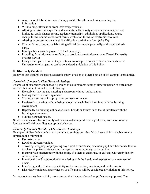- Awareness of false information being provided by others and not correcting the information.
- Withholding information from University officials.
- Altering or misusing any official documents or University resources including, but not limited to, grade change forms, academic transcripts, admissions applications, course change forms, course withdrawal forms, evaluation forms, or electronic resources.
- Altering or possessing an altered identification card of any form (fake ID).
- Counterfeiting, forging, or fabricating official documents personally or through a thirdparty.
- Issuing a bad check or payment to the University.
- Providing false information or failing to provide current information to Drexel University or other parties.
- Using a third party to submit applications, transcripts, or other official documents to the University or other parties can be considered a violation of this Policy.

# **8. Disorderly Conduct**

Behavior that disturbs the peace, academic study, or sleep of others both on or off campus is prohibited.

# *Disorderly Conduct in Class/Research Settings*

Examples of disorderly conduct as it pertains to class/research settings either in person or virtual may include, but are not limited to the following:

- Excessively leaving and entering a classroom without authorization.
- Making loud or distracting noises.
- Sharing excessive or inappropriate comments or images.
- Persistently speaking without being recognized such that it interferes with the learning environment.
- Repeatedly dominating online discussion boards or forums such that it interferes with the learning environment.
- Making personal insults.

Students are responsible to comply with a reasonable request from a professor, instructor, or other University official regarding appropriate behavior.

# *Disorderly Conduct Outside of Class/Research Settings*

Examples of disorderly conduct as it pertains to settings outside of class/research include, but are not limited to the following:

- Excessive noise.
- Lewd or indecent conduct.
- Throwing, dropping, or projecting any object or substance, (including spit or other bodily fluids), that has the potential for causing damage to property, injury, or disruption.
- Inappropriate interference with the ability of others to enter, use, or exit any University facility, service, or activity.
- Intentionally and inappropriately interfering with the freedom of expression or movement of others.
- Interfering with a University activity such as recreation, meetings, and public events.
- Disorderly conduct at gatherings on or off campus will be considered a violation of this Policy.

Various outdoor student activity programs require the use of sound amplification equipment. The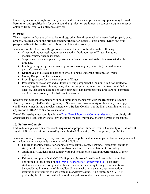University reserves the right to specify where and when such amplification equipment may be used. Permission and specification for use of sound amplification equipment on campus programs must be obtained from Event & Conference Services.

# **9. Drugs**

The possession and/or use of narcotics or drugs other than those medically prescribed, properly used, properly secured, and in the original container (hereafter: Drugs), is prohibited. Drugs and drug paraphernalia will be confiscated if found on University property.

Violations of the University Drugs policy include, but are not limited to the following:

- Consumption, possession, purchase, sale, distribution, or use of Drugs, including medically prescribed marijuana.
- Suspicious odor accompanied by visual confirmation of materials often associated with drug use.
- Inhaling or ingesting substances (e.g., nitrous oxide, glue, paint, etc.) that will alter a person's mental state.
- Disruptive conduct due in part or in whole to being under the influence of Drugs.
- Giving Drugs to another person(s).
- Providing a space for the consumption of Drugs.
- Possession or use of any and all types of Drug paraphernalia including, but not limited to, scales, baggies, stems, bongs, pens, pipes, water pipes, grinders, or any items modified or adapted, that can be used to consume/distribute/ handle/prepare/use drugs are not permitted on University property. This list is not exhaustive.

Students and Student Organizations should familiarize themselves with the Responsible Dragon Amnesty Policy (RDAP) at the beginning of Section 5 and how amnesty of this policy can apply if conditions are met during a medical emergency. Student Conduct has the final determination on the application of RDAP to any policy violation.

Drexel University must comply with the **Drug-Free Schools and Communities Act**. Accordingly, all drugs that are illegal under federal law, including medical marijuana, are not permitted on campus.

# **10. Failure to Comply**

Failure to comply with any reasonable request or appropriate directive from a University official, or with any disciplinary conditions imposed by an authorized University official or group, is prohibited.

Violations of any University policy, rule, or regulation published in hard copy or electronically available on the University's website is a violation of this Policy.

- Failure to identify oneself or cooperate with campus safety personnel, residential facilities staff, or other University officials is also considered to be a violation of this Policy.
- Additionally, Students must comply with public authorities acting in performance of their duties.
- Failure to comply with all COVID-19 protocols around health and safety, including but not limited to those listed on [the Drexel Response to Coron](https://drexel.edu/coronavirus/)avirus site. To be clear, students who are not compliant with vaccination or mandatory testing requirements will be considered in violation of this policy. Students who have an approved vaccination exemption are required to participate in mandatory testing. As it relates to COVID-19 protocols, the University will address all alleged misconduct on a case-by-case basis.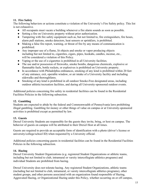# **11. Fire Safety**

The following behaviors or actions constitute a violation of the University's Fire Safety policy. This list is not exhaustive.

- All occupants must vacate a building whenever a fire alarm sounds as soon as possible.
- Setting a fire on University property without prior authorization.
- Tampering with fire safety equipment such as, but not limited to, fire extinguishers, fire hoses, alarm pull stations, smoke detectors, heat sensors or sprinklers, is prohibited.
- Making a false fire report, warning, or threat of fire by any means of communication is prohibited.
- Any improper use of a flame, lit objects and smoke or vapor producing objects including but not limited to, cigarettes, cigars, pipes, hookahs, candles, incense, etc., will be considered a violation of this Policy.
- Vaping or the use of e-cigarettes is prohibited in all University facilities.
- The use and/or possession of fireworks, smoke bombs, dangerous chemicals, explosive or flammable fuels, bottle rockets, or explosives is prohibited on University property.
- In accordance with Philadelphia ordinances, smoking of any kind is prohibited within 20 feet of any entrance, exit, operable window, or air intake of a University facility and including sidewalks and thoroughfares.
- Smoking of any kind is prohibited in all outdoor Smoke-Free designated areas, including outdoor athletic/recreation facilities, and during all University-sponsored outdoor events.

Additional policies concerning fire safety in residential facilities can be found in the Residential Facilities Policies in the following subsection.

# **12. Gambling**

Students are expected to abide by the federal and Commonwealth of Pennsylvania laws prohibiting illegal gambling. Gambling for money or other things of value on campus or at University-sponsored activities is prohibited except as permitted by law.

# **13. Guests**

Drexel University Students are responsible for the guests they invite, bring, or host on campus. The behavior of guests on campus will be attributed to their Drexel Host at all times.

Guests are required to provide an acceptable form of identification with a photo (driver's license or university/college/school ID) when requested by a University official.

Additional policies concerning guests in residential facilities can be found in the Residential Facilities Policies in the following subsection.

# **14. Hazing**

Drexel University Student Organizations (e.g. registered Student Organizations or athletic teams, including but not limited to club, intramural or varsity intercollegiate athletics programs) and individual Students are prohibited from hazing.

Drexel University does not tolerate hazing. Any registered Student Organizations, athletic teams (including but not limited to club, intramural, or varsity intercollegiate athletics programs), other student groups, and other persons associated with an organization found responsible of Hazing, Aggravated Hazing, or Organizational Hazing under this Policy, whether occurring on or off campus,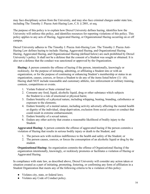may face disciplinary action from the University, and may also face criminal charges under state law, including The Timothy J. Piazza Anti-Hazing Law, C.S. § 2801, et seq.

The purpose of this policy is to explain how Drexel University defines hazing, identifies how the University will enforce this policy, and identifies resources for reporting violations of this policy. This policy applies to any acts of Hazing, Aggravated Hazing, or Organizational Hazing occurring on or off campus.

Drexel University adheres to The Timothy J. Piazza Anti-Hazing Law. The Timothy J. Piazza Anti-Hazing Law defines hazing to include: Hazing, Aggravated Hazing, and Organizational Hazing. Hazing, Aggravated Hazing, and Organizational Hazing (defined below) are each prohibited by Drexel University's policy. It shall not be a defense that the consent of a Student was sought or obtained. It is also not a defense that the conduct was sanctioned or approved by the Organization.

**Hazing:** A person commits the offense of hazing if the person, intentionally, knowingly or recklessly, for the purpose of initiating, admitting, or affiliating a Student into or with an organization, or for the purpose of continuing or enhancing Student's membership or status in an organization, causes, coerces, or forces a Student to do any of the items listed below (1) - (6). Hazing shall NOT include reasonable and customary athletic, law enforcement or military training, contests, competitions or events.

- 1. Violate Federal or State criminal law;
- 2. Consume any food, liquid, alcoholic liquid, drug or other substance which subjects the Student to a risk of emotional or physical harm;
- 3. Endure brutality of a physical nature, including whipping, beating, branding, calisthenics or exposure to the elements;
- 4. Endure brutality of a mental nature, including activity adversely affecting the mental health or dignity of the individual, sleep deprivation, exclusion from social contact or conduct that could result in extreme embarrassment;
- 5. Endure brutality of a sexual nature;
- 6. Endure any other activity that creates a reasonable likelihood of bodily injury to the Student.

**Aggravated Hazing:** A person commits the offense of aggravated hazing if the person commits a violation of Hazing that results in serious bodily injury or death to the Student; and

- 1. The person acts with reckless indifference to the health and safety of the Student; or
- 2. The person causes, coerces, or forces the consumption of an alcoholic liquid or drug by the student.

**Organizational Hazing:** An organization commits the offense of Organizational Hazing if the organization intentionally, knowingly, or recklessly promotes or facilitates a violation of Hazing or Aggravated Hazing.

In compliance with state law, as described above, Drexel University will consider any action taken or situation created as a part of initiating, promoting, fostering, or confirming any form of affiliation in a Student Organization that meets any of the following criteria to be a violation of this policy:

- Violates city, state, or federal laws.
- Violates any Code of Conduct policy.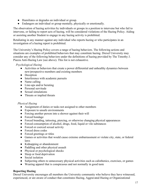- Humiliates or degrades an individual or group.
- Endangers an individual or group mentally, physically or emotionally.

The observation of hazing activities by individuals or groups in a position to intervene but who fail to intervene, or failing to report acts of hazing, will be considered violations of the Hazing Policy. Aiding or assisting another Student to engage in any hazing activity is prohibited.

Retaliating in any manner against any individual who reports hazing or who participates in an investigation of a hazing report is prohibited.

The University's Hazing Policy covers a range of hazing behaviors. The following actions and situations are examples of prohibited behaviors that may constitute hazing. Drexel University may consider any of the following behaviors under the definitions of hazing provided by The Timothy J. Piazza Anti-Hazing Law (see above). This list is not exhaustive.

*Psychological Hazing*

- Activities or behaviors that create a power differential and unhealthy dynamics between new/prospective members and existing members
- Deception
- Interference with academic pursuits
- Name calling
- Line-ups and/or berating
- Personal servitude
- Sexual simulations
- Threats or implied threats

# *Physical Hazing*

- Assignment of duties or tasks not assigned to other members
- Exposure to unsafe environments
- Forcing another person into a shower against their will
- Forced bondage
- Forced branding, tattooing, piercing, or otherwise changing physical appearances
- Forced consumption of alcohol, drugs, food, liquid or vile substances
- Forced or coerced sexual activity
- Forced dress codes
- Forced greetings or titles
- Games or activities that would cause extreme embarrassment or violate city, state, or federal laws
- Kidnapping or abandonment
- Paddling and other physical assault
- Physical or psychological shocks
- Sleep or food deprivation
- Social isolation
- Subjecting others to unnecessary physical activities such as calisthenics, exercises, or games
- Wearing apparel that is conspicuous and not normally in good taste

# **Reporting Hazing**

Drexel University encourages all members the University community who believe they have witnessed, experienced, or are aware of conduct that constitutes Hazing, Aggravated Hazing or Organizational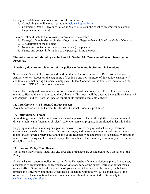Hazing, in violation of this Policy, to report the violation by:

- 1. Completing an online report using the [Incident Report Form](https://cm.maxient.com/reportingform.php?DrexelUniv&layout_id=1)
- 2. Contacting Drexel University Police at 215.895.2222 (in the event of an emergency contact the police immediately)

The report should include the following information, if available:

- 1. Name(s) of the Student or Student Organization alleged to have violated the Code of Conduct.
- 2. A description of the incident.
- 3. Names and contact information of witnesses (if applicable).
- 4. Names and contact information of the person(s) filing the report.

# **The enforcement of this policy can be found in Section 10: Case Resolution and Investigation Processes.**

# **Sanction guidelines for violations of this policy can be found in Section 11: Sanctions.**

Students and Student Organizations should familiarize themselves with the Responsible Dragon Amnesty Policy (RDAP) at the beginning of Section 5 and how amnesty of this policy can apply if conditions are met during a medical emergency. Student Conduct has the final determination on the application of RDAP to any policy violation.

Drexel University will maintain a report of all violations of this Policy or of Federal or State Laws related to Hazing that are reported to the University. This report will be updated biannually on January 1 and August 1 and will post the updated report on its publicly accessible website.

#### **15. Interference with Student Conduct Process**

Any interference with the University's Student Conduct Process is prohibited.

# **16. Intimidation/Threats**

Intimidating conduct that would cause a reasonable person to feel as though there was an imminent threat to their health (mental or physical), safety, or personal property is prohibited under this Policy.

Engaging in conduct, including any gesture, or written, verbal or physical act, or any electronic communication (which includes emails, text messages, and Internet postings on websites or other social media) that is severe or pervasive and that it could reasonably be understood to substantially disrupt or interfere with the rights of a Student or any other member of the University community will result in disciplinary action.

# **17. Law and Policy Compliance**

Violations of any federal, state, and city laws and ordinances are considered to be a violation of this Policy.

Students have an ongoing obligation to notify the University of any conviction, a plea of no contest, acceptance of responsibility, or acceptance of sanctions for a crime or civil infraction (other than a minor traffic offense) in local (city or township), state, or federal court if the underlying behavior impacts the University community, regardless of location, within thirty (30) calendar days of the occurrence of the conviction. Detailed documentation should be submitted electronically to [studentconduct@drexel.edu.](mailto:rlsc@drexel.edu)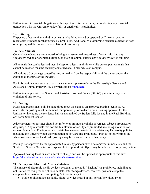Failure to meet financial obligations with respect to University funds, or conducting any financial transaction with the University unlawfully or unethically is prohibited.

### **18. Littering**

Disposing of waste of any kind in or near any building owned or operated by Drexel except in receptacles provided for that purpose is prohibited. Additionally, overturning receptacles used for trash or recycling will be considered a violation of this Policy.

# **19. Pets/Animals**

Generally, students are not allowed to bring any pet/animal, regardless of ownership, into any University-owned or operated building, or chain an animal outside any University owned building.

All animals that can be leashed must be kept on a leash at all times while on campus. Animals that cannot be leashed must be securely contained at all times while on campus.

All actions of, or damage caused by, any animal will be the responsibility of the owner and/or the guardian at the time of the incident.

For information about service or assistance animals, please refer to the University's Service and Assistance Animal Policy (OED-5) which can be [found here.](https://drexel.edu/oed/policies/overview/OED-5/)

Failure to comply with the Service and Assistance Animal Policy (OED-5) guidelines may be a violation of this Policy.

# **20. Posting**

Flyers and posters may only be hung throughout the campus on approved posting locations. All materials for posting must be stamped for approval prior to distribution. Posting approval for the University, including the residence halls is maintained by Student Life located in the Rush Building or Creese Student Center.

Advertisements or postings should not refer to or promote alcoholic beverages, tobacco products, or drug usage. Any materials that constitute unlawful obscenity are prohibited, including violations of state or federal law. Postings which contain language or material that violates any University policies, including the University non-discrimination policy, are also prohibited. "Post It" notes, writings on whiteboards and other handmade postings may be considered under this policy.

Postings not approved by the appropriate University personnel will be removed immediately and the Student or Student Organization responsible that posted said flyers may be subject to disciplinary action.

Approved posting locations are subject to change and will be updated as appropriate at this site: <https://drexel.edu/campusservices/studentCenters/services/>

# **21. Privacy and Electronic Media Violations**

The misuse of electronic media devices, systems, or methods ("hacking") is prohibited, including but not limited to: using mobile phones, tablets, data storage devices, cameras, printers, computers, computer lines/networks or computing facilities in ways that:

• Make or disseminate an audio, photo, or video record of any person(s) without prior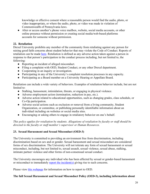knowledge or effective consent where a reasonable person would find the audio, photo, or video inappropriate, or where the audio, photo, or video was made in violation of Commonwealth of Pennsylvania laws.

• Alter or access another's phone voice mailbox, website, social media accounts, or other online presence without permission or creating social media/web-based platforms accounts for someone without permission.

#### **22. Retaliation**

Drexel University prohibits any member of the community from retaliating against any person for raising good faith concerns about student behavior that may violate the Code of Conduct. Reports of retaliation can be made [here.](https://cm.maxient.com/reportingform.php?DrexelUniv&layout_id=1) Retaliation is defined as any adverse action taken against a person in response to that person's participation in the conduct process including, but not limited to, the following:

- Reporting an incident of alleged misconduct.
- Filing a complaint with OED, Student Conduct, or any other Drexel department.
- Cooperating in an inquiry or investigation.
- Participating in any of the University's complaint resolution processes in any capacity.
- Participating as a Board member on a University Hearing or Appellate Board.

Retaliation can include a wide variety of behaviors. Examples of retaliation behavior include, but are not limited to:

- Stalking, harassment, intimidation, threats, or engaging in physical violence.
- Adverse employment action (termination, reduction in pay, etc.).
- Adverse action related to educational opportunities, such as changing grades, class schedule, or Co-Op participation.
- Adverse social actions such as exclusion or removal from a living community, Student Organization, or committee, or publishing personally identifiable information about an individual including on websites or social media sites.
- Encouraging or asking others to engage in retaliatory behavior on one's behalf.

*This policy applies for retaliation by students. Allegations of retaliation by faculty or staff should be directed to the faculty or staff member's supervisor or Human Resources.*

#### **23. Sexual Harassment and Sexual Misconduct (OED-3)**

The University is committed to providing an environment free from discrimination, including discrimination based on sex and or gender. Sexual harassment and sexual misconduct are considered forms of sex discrimination. The University will not tolerate any form of sexual harassment or sexual misconduct, including, but not limited to, sexual assault, sexual violence, sexual abuse, stalking, intimate partner violence and other forms of non-consensual sexual conduct.

The University encourages any individual who has been affected by sexual or gender-based harassment or misconduct to immediately [report the incident\(s\)](https://drexel.edu/oed/reporting/overview/) giving rise to such concerns.

Please view [this webpage](https://drexel.edu/oed/reporting/overview/) for information on how to report to OED.

#### **The full Sexual Harassment and Sexual Misconduct Policy (OED-3), including information about**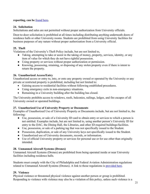# reporting, can be **<u>[found here](https://drexel.edu/oed/policies/overview/OED-3/)</u>**.

#### **24. Solicitation**

Solicitations and sales are not permitted without proper authorization from University officials.

Door-to-door solicitation is prohibited at all times including distributing anything underneath doors of residence halls or other University rooms. Students are prohibited from using University facilities for business purposes of any nature without proper authorization from a University official.

# **25. Theft**

Violations of the University's Theft Policy include, but are not limited to,

- Taking, attempting to take or assist in the taking of money, property, services, identity, or any item of value for which they do not have rightful possession.
- Using property or services without proper authorization or permission.
- Knowing, possessing, retaining, or disposing of any stolen property even if there is intent to return the property.

# **26. Unauthorized Access/Entry**

Unauthorized access or entry to, into, or onto any property owned or operated by the University or any private or restricted property is prohibited, including but not limited to:

- Gaining access to residential facilities without following established procedures.
- Using emergency exits in non-emergency situations.
- Remaining in a University building after the building has closed.

The University prohibits access to windows, roofs, balconies, railings, ledges, and fire escapes of all University owned or operated buildings.

# **27. Unauthorized Use of University Property or Documents**

Examples of Unauthorized Use of University Property or Documents include, but are not limited to, the following:

- Use, possession, or sale of a University ID card to obtain entry or services to which a person is not entitled. Examples include, but are not limited to, using another person's University ID for entry to the DAC, the Dining Hall, the Libraries, and other ID-required buildings/facilities.
- Use, possession, or sale of a parking tag that was not specifically issued to the Student.
- Possession, duplication, or sale of any University keys not specifically issued to the Student.
- Unauthorized use of University documents, records, or information.
- Use of official University property or services for personal use or for use other than originally intended.

# **28. Unmanned Aircraft Systems (Drones)**

Unmanned Aircraft Systems (Drones) are prohibited from being operated inside or near University facilities including residence halls.

Students must comply with the City of Philadelphia and Federal Aviation Administration regulations related to Unmanned Aircraft Systems (Drones). A link to those regulations is [provided here.](https://beta.phila.gov/2018-04-13-drone-usage-and-faa-regulations/)

# **29. Violence**

Physical violence or threatened physical violence against another person or group is prohibited. Responding to violence with violence may also be a violation of this policy, unless such violence is a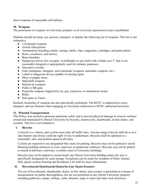direct response of reasonable self-defense.

#### **30. Weapons**

The possession of weapons on University property or at University-sponsored events is prohibited.

Students should not keep, use, possess, transport, or display the following list of weapons. This list is not exhaustive.

- 3-D printed weapons
- Airsoft rifles/pistols
- Ammunition including rounds, casings, shells, clips, magazines, cartridges, and paint pellets
- Bows, crossbows, and arrows,
- Brass knuckles
- Dangerous knives (for example: switchblades or any knife with a blade over 3" that is not reasonably designed or appropriately used for culinary purposes)
- Decorative swords
- Guns (handguns, shotguns, semi-automatic weapons, automatic weapons, etc.)
- Lethal or dangerous device capable of causing injury
- Mace or pepper spray
- Makeshift weapons
- Martial art weapons
- Pellet or BB guns
- Projectile weapons triggered by air, gas, explosion, or mechanical means
- Rifles
- Stun guns or Tasers

Realistic facsimiles of weapons are also specifically prohibited. The ROTC is authorized to store, transport, and use firearms when engaging in University-authorized or ROTC authorized activities.

# **31. Wheeled Transportation**

This Policy was created to promote pedestrian safety and to prevent physical damage to exterior surfaces owned and maintained by Drexel University by bicycles, motorcycles, skateboards, in-line skates, and scooters. This list is not exhaustive.

# **I. Bicycles**

A bicycle is a vehicle, and cyclists must obey all traffic laws. Anyone using a bicycle shall do so in a safe manner and always yield the right of way to pedestrians. Bicycles shall be operated at a reasonable, safe, and prudent speed at all times.

Cyclists are required to use designated bike racks for parking. Bicycles may not be parked or stored blocking building entrances or exits, stairways or pedestrian walkways. Bicycles may not be parked or stored in hallways, stairways, or public areas in University buildings.

Bicycles may not be parked or stored inside any Drexel University building unless the area is specifically designated for such storage. Exceptions can be made for residents of Stiles Alumni Hall, please contact Housing and Residence Life staff for more information.

# **II. Hoverboards/Skateboards/Skates/In-Line Skates/Scooters**

The use of hoverboards, skateboards, skates, in-line skates, and scooters is permitted as a means of transportation on public thoroughfares; but are not permitted on any Drexel University property including pathways, ramps, railings, curbs, benches, steps or stairs and other such structures.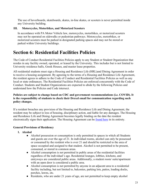The use of hoverboards, skateboards, skates, in-line skates, or scooters is never permitted inside any University building.

### **III. Motorcycles, Motorbikes, and Motorized Scooters**

In accordance with PA Motor Vehicle law, motorcycles, motorbikes, or motorized scooters may not be operated on sidewalks or pedestrian pathways. Motorcycles, motorbikes, or motorized scooters must be parked in designated parking spaces and may not be stored or parked within University buildings.

# **Section 6: Residential Facilities Policies**

The Code of Conduct Residential Facilities Policies apply to any Student or Student Organization that resides in any facility owned, operated, or leased by the University. This includes but is not limited to University residence halls, Greek Houses, and master lease properties.

All residential students must sign a Housing and Residence Life (HRL)and Dining Agreement in order to receive a housing assignment. By agreeing to the terms of a Housing and Residence Life Agreement, the resident agrees to adhere to the Code of Conduct and Residential Facilities Policies as well as any local or state ordinances. The Residential Facilities Policies are enforced concurrently with the Code of Conduct. Students and Student Organizations are expected to abide by the following Policies and understand how the Policies and Code intersect.

# **Policies are subject to change based on CDC and government recommendations (i.e. COVID). It is the responsibility of students to check their Drexel email for communication regarding such policy changes.**

If a resident breaches any provision of the Housing and Residence Life and Dining Agreement, the resident may be subject to loss of housing, disciplinary action, and liable for any damages. The Housing and Residence Life and Dining Agreement becomes legally binding on the date the resident electronically signs their application. The Housing Agreement can be <u>found here</u> in its entirety.

# <span id="page-22-0"></span>**General Provisions of Residency**

- **1. Alcohol**
	- Alcohol possession or consumption is only permitted in spaces in which all Students and guests are over the age of 21. In individual rooms, alcohol can only be possessed or consumed by the resident who is over 21 and should be restricted to the area of space occupied and assigned to that student. Alcohol is not permitted to be present, consumed, or stored in common areas.
	- Alcohol consumption is not permitted in public areas of the residential facilities regardless of the individual's age. Residential lounges, lobbies, kitchens, and entryways are considered public areas. Additionally, a student room/ suite/apartment with an open door is considered a public area.
	- Alcohol consumption is not permitted by anyone in an adjacent area to a residential facility including, but not limited to, balconies, parking lots, patios, loading docks, porches, lawns, etc.
	- Residents, who are under 21 years of age, are not permitted to keep empty alcohol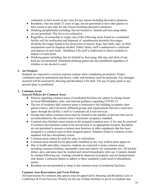containers in their rooms at any time for any reason including decorative purposes.

- Residents, who are under 21 years of age, are not permitted to have shot glasses in their rooms at any time for any reason including decorative purposes.
- Drinking paraphernalia including, but not limited to, funnels and beer pong tables are not permitted. This list is not exhaustive.
- Regardless of ownership or origin, any of the following items found in a residential facility will be confiscated and disposed of: unauthorized alcoholic beverages, alcoholic beverages found in the possession of minors, kegs, beer balls, taps, or other mechanisms used to dispense alcohol. Public Safety staff is authorized to confiscate and dispose of such items. Residence Life staff is authorized to direct residents to dispose of such items.
- Drinking games including, but not limited to, beer pong, flip cup, and shots of any kind are not permitted. Simulated drinking games are also prohibited regardless of whether or not alcohol is used.

# **2. Art Projects**

Students are expected to exercise extreme caution when completing art projects. Proper ventilation must be maintained and floors, walls, and furniture must be protected. Any damages incurred will be assessed by Housing and Residence Life staff. The use of spray paint or any aerosol spray is prohibited.

# **3. Common Areas**

# *General Policies for Common Areas*

- Policies regarding common areas of residential facilities are subject to change based on local (Philadelphia), state, and national guidance regarding COVID-19.
- The use of residence hall common areas is restricted to the building occupants, their guests/visitors, and University-affiliated groups and organizations that have reserved a space through the facility's staff or Conference & Event Services.
- Groups that utilize common areas must be limited to the number of persons that can be accommodated by the common area's maximum occupancy standard.
- Common area furniture must remain in the assigned common area. A fee may be assessed if common area furniture needs to be moved back to its appropriate location. Residents are not permitted to possess common area furniture or other equipment that has been assigned to a common area in their assigned spaces. Students found in violation of this standard will face disciplinary action.
- Common areas cannot be used for sales or solicitation.
- Common areas should not be physically modified in any way without prior approval.
- Due to health and safety concerns, students are expected to keep common areas, including common kitchens, reasonably clean and orderly for community use. All kitchen dishes, pots, and pans must be washed and stored immediately after use. Counters should be cleaned following use. Garbage should be disposed of properly and not flushed down sink drains. Continued failure to adhere to these standards could result in disciplinary action.
- Residents are not permitted to sleep in the common areas of residential facilities.

#### *Common Area Reservations and Event Policies*

All reservations for common area spaces must be approved by Housing and Residence Life or Conference & Event Services. Priority for the use of these facilities is given to residents and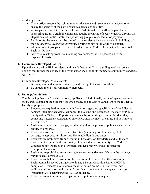resident groups.

- These offices reserve the right to monitor the event and take any action necessary to ensure the security of the participants, residents, and facilities.
- A group exceeding 25 requires the hiring of additional desk staff to be paid by the sponsoring group. Certain locations also require the hiring of security guards through the Department of Public Safety; the sponsoring group is responsible for payment.
- Publicity for the event must be limited to the residence halls and academic buildings of the University following the University Posting policy in the Code of Conduct.
- All nonresident groups are expected to adhere to the Code of Conduct and Residential Facilities Policies.
- Any costs resulting from use, including any damages, will be passed on to the responsible hosts.

# **4. Community Developed Policies**

Upon the approval of HRL, residents within a defined area (floor, building, etc.) can create policies that further the quality of the living experience for all its members (community standards agreements).

Community Developed Policies must:

- 1. Be congruent with current University and HRL policies and procedures.
- 2. Be agreed upon by all community members.

# **5. Damage/Vandalism**

The following Damage/Vandalism policy applies to all individually assigned spaces, common areas, areas outside of the Student's assigned space, and all acts of vandalism of the residential facility or property.

- Students are required to report any information regarding specific acts of vandalism or damage (including accidental damages) to Housing and Residence Life staff, or Public Safety within 24 hours. Reports can be made by submitting an online Work Order, contacting a Resident Assistant or other HRL staff member, or calling Public Safety at 215.895.2222.
- Residents cannot paint, damage, or otherwise alter the private or public spaces of the facility or property.
- Residents must keep the exterior of facilities (including porches, lawns, etc.) free of garbage, unapproved furniture, and flammable liquids and gases.
- Residents are prohibited from engaging in behaviors of disorderly conduct that are inconsistent with the health and safety of the residential community. See Code of Conduct policy Destruction of Property and Disorderly Conduct for specific examples of violations.
- Residents are prohibited from causing unnecessary garbage or debris in the hallways, public spaces, egresses, etc.
- Residents are held responsible for the condition of the room that they are assigned. Each room is inspected during check-in and a Room Condition Report (RCR) is completed. Residents should check the information on the RCR for errors, add additional information, and sign it. As residents check out of their spaces, damage inspections will occur using the RCR as guidance.
- Residents are not permitted to repair or attempt to repair damages.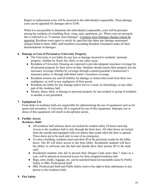Repair or replacement costs will be assessed to the individual(s) responsible. These damage costs can be appealed for damages above \$100.

When it is not possible to determine the individual(s) responsible, costs will be prorated among the residents of a building floor, wing, suite, apartment, etc. When costs are prorated, this is referred to as "Common Area Damage". Common Area Damages charges cannot be appealed. Residents must agree to satisfy by specified due dates any damage assessment charges billed to them. HRL staff members (excluding Resident Assistants) make all final determinations of damages.

#### **6. Damage or Loss of Personal or University Property**

- The University is not liable for any loss or damage incurred to residents' personal property, whether by flood, fire, theft, or any other cause.
- Residents of University Housing are expected to provide adequate insurance coverage for all personal property by their move-in date. Students should ensure their property has the necessary coverage whether by coverage through a parent/guardian's homeowner's insurance policy or through individual renter's insurance coverage.
- Residents assume any and all liability for damage or claims that result from their own negligence, as well as any negligence of their guests.
- Residents are liable for any damage and/or loss to a room, its furnishings, or any other part of the residence hall.
- Misuse, abuse, theft, or damage to personal property by one resident or group of residents to another is not permitted.

# **7. Equipment Use**

Front desks in residence halls are responsible for administering the use of equipment such as for sports and recreation. A University ID is required for use of this equipment. Improper use or abuse of this equipment will result in disciplinary action.

# **8. Facility Access**

# *Residence Halls*

- All residence hall entrance doors are locked for student safety 24 hours each day. Access to the residence hall is only through the front door. All other doors are locked from the outside and equipped with exit alarms that sound when the door is opened. These doors are to be used only in case of an emergency.
- To enter a building, residents must scan their ID at the proximity reader by the lobby doors. The ID will allow access to the front lobby. Residential students will have the ability to self-scan into the hall and should show their picture ID to the desk staff.
- Residential students who fail to present their Dragon Cards more than 7 times in a year, will be placed on restricted access for their assigned residence hall.
- Bags, carts, trunks, luggage, etc. can be searched based on reasonable cause by Public Safety or HRL Professional Staff.
- HRL Professional Staff and Public Safety reserve the right to deny admittance to any person to the residence halls.

# **9. Fire Safety**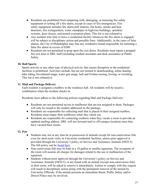- Residents are prohibited from tampering with, damaging, or misusing fire safety equipment or setting off a fire alarm, except in cases of fire emergencies. Fire safety equipment includes fire alarm pull stations, fire hoses, smoke and heat detectors, fire extinguishers, water standpipes in high-rise buildings, sprinkler systems, door closers, and posted evacuation plans. This list is not exhaustive.
- Any resident who fails to leave a residential facility whenever the fire alarm is engaged will be subject to disciplinary action and possible fines. Additionally, in the cases of false alarms, the City of Philadelphia may fine any resident(s) found responsible for initiating a false fire alarm in excess of \$500.
- Residents are not permitted to prop open fire exit doors. Residents must report a propped fire exit door to HRL staff (including resident assistants and desk assistants) or Public Safety.

# **10. Hall Sports**

Sports activity or any other type of physical activity that causes disruption in the residential facilities is prohibited. Activities include, but are not limited to skateboarding, inline skating, bike riding, hoverboard usage, water gun usage, ball and Frisbee tossing, boxing, or wrestling. This list is not exhaustive.

# **11. Mail and Package Delivery**

Each resident is assigned a mailbox in the residence hall. All residents will be issued a combination when the resident checks in.

Residents must adhere to the following policies regarding Mail and Package Delivery:

- Residents are not permitted access to mailboxes that are not assigned to them. Packages will only be issued to the student addressed on the package.
- Residents are responsible for collecting mail that is placed in their assigned mailbox. Residents must empty their mailboxes when they check out.
- Residents are responsible for contacting creditors when they vacate a room to provide an updated mailing address. HRL will not forward mail to off-campus locations once they have vacated their rooms.

#### **12. Pets**

- Students may not at any time be in possession of animals except for non-carnivorous fish, even for short-term visits, in University residential facilities, unless prior approval is provided through the University's policy on Service and Assistance Animals (OED-5). The full policy can be [found here.](http://drexel.edu/oed/policies/overview/OED-5/)
- Non-carnivorous fish may be kept in a 10-gallon or smaller aquarium. The occupants of the room will assume all charges for damages related to the use or malfunction of the aquarium.
- Students without prior approval through the University's policy on Service and Assistance Animals (OED-5), or are found with an animal (except non-carnivorous fish) in their room, will be asked to remove it immediately. Failure to comply with this request will result in disciplinary action along with the permanent removal of the animal by University Officials. If the animal presents an immediate threat, Public Safety and/or Drexel Police may be involved.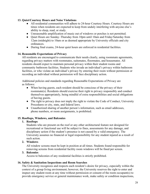# **13. Quiet/Courtesy Hours and Noise Violations**

- All residential communities will adhere to 24-hour Courtesy Hours. Courtesy Hours are times when residents are expected to keep from unduly interfering with anyone else's ability to sleep, read, or study.
- Unreasonable amplification of music out of windows or porches is not permitted.
- Quiet Hours are Sunday–Thursday from 10pm until 10am and Friday/Saturday from 12am (midnight) to 10am or as deemed appropriate by University officials and city ordinances.
- During final exams, 24-hour quiet hours are enforced in residential facilities.

#### **14. Reasonable Expectations of Privacy**

All residents are encouraged to communicate their needs clearly, using roommate agreements, regarding privacy matters with roommates, suitemates, floormates, and housemates. All residents should expect to maintain personal privacy within their student rooms and community bathroom facilities. Students who invade an individual's privacy within bathroom facilities, or who violate an individual's privacy by entering their room without permission or recording an individual without permission will face disciplinary action.

Additional policies and standards regarding Reasonable Expectations of Privacy are as follows:

- When having guests, each resident should be conscious of the privacy of their roommate(s). Residents should exercise their right to privacy responsibly and conduct themselves appropriately, being mindful of extra responsibilities and social obligations of having guests.
- The right to privacy does not imply the right to violate the Code of Conduct, University Procedures or city, state, and federal laws.
- Unauthorized sharing of another person's information, such as email addresses, phone numbers, or room assignments, is prohibited.

#### **15. Rooftops, Windows, and Balconies**

# **1. Rooftops**

Students who are present on the roof or any other architectural feature not designed for recreational or functional use will be subject to fines, assessments for any damage, and disciplinary action if the student's presence is not caused by a valid emergency. The University assumes no financial or legal responsibility for any student injured as a result of such action.

#### **2. Windows**

All window screens must be kept in position at all times. Students found responsible for removing screens from residential facility room windows will be fined per screen.

#### **3. Balconies**

Access to balconies of any residential facilities is strictly prohibited.

#### **16. Safety & Sanitation Inspections and Room Searches**

The University recognizes and respects each resident's desire for privacy, especially within the context of a group living environment; however, the University reserves the right to enter and inspect any student room at any time without permission or consent of the room occupant(s) to provide emergency service or general maintenance work, make safety or condition inspections,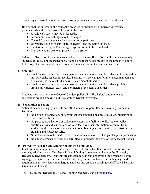or investigate possible violation(s) of University policies or city, state, or federal laws.

Rooms shall be entered in the resident's presence or absence by authorized University personnel when there is reasonable cause to believe:

- A resident's safety may be in jeopardy.
- A room or its furnishings may be damaged.
- Custodial or maintenance functions must be performed.
- University policies or city, state, or federal laws are being violated.
- Sanitation, safety, and/or damage inspections are to be completed.
- That there could be stolen property in the space.

Safety and Sanitation Inspections are conducted each term. Best efforts will be made to notify students of the date of the inspections. Should a resident not be present at the time the room is to be inspected, staff members will conduct the inspection in the resident's absence.

#### **17. Smoking**

- Smoking (including electronic cigarettes, vaping devices, and hookah) is not permitted in any University residential facility. Students will be charged for any related maintenance or cleaning as the result of smoking in a residential facility.
- Smoking (including electronic cigarettes, vaping devices, and hookah) is prohibited around all entrances, exits, and perimeters of residential facilities.

Students must also adhere to Code of Conduct policy #11 (Fire Safety) and the related regulations around smoking and fire safety at Drexel University.

#### **18. Solicitation & Selling**

Solicitation and selling by students and all others are not permitted in University residential facilities.

- No person, organization, or department can conduct a business, sales, or solicitation in residential facilities.
- No person, organization, or office may enter these facilities to distribute or collect questionnaires and surveys and/or to collect any other information in person from students in their place of residence, without obtaining advance written permission from Housing and Residence Life.
- No deliveries may be made to individual rooms unless HRL has granted prior permission.
- No advertisements or flyers are permitted on or under the doors of residence hall rooms.

#### **19. University Housing and Dining Agreement Compliance**

In addition to these policies, residents are required to abide by all terms and conditions listed in their signed Housing and Residence Life and Dining Agreement, to include the University Residency Requirement. Residents are expected to read and understand the agreement before signing. The agreement is updated each academic year and contains specific language and requirements for Residents in undergraduate housing, graduate housing, and affiliated Student Organization housing.

The Housing and Residence Life and Dining Agreements can be [found here.](https://drexel.edu/campusservices/universityHousing/forms/)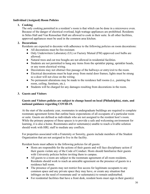# <span id="page-29-0"></span>**Individual (Assigned) Room Policies**

### **1. Cooking**

The only cooking permitted in a resident's room is that which can be done in a microwave oven. Because of the danger of electrical overload, high-wattage appliances are prohibited. Residents in Stiles Hall and Van Rensselaer Hall are allowed to cook in their suite. In all other facilities, approved appliances must be used in the common area kitchen.

# **2. Decorations**

Residents are expected to decorate with adherence to the following policies on room decorations:

- All decorations must be fire-resistant.
- Only Underwriters Laboratory (UL) or Factory Mutual (FM) approved cool bulbs are allowed.
- Natural trees and cut tree boughs are not allowed in residential facilities.
- Students are not permitted to hang any items from the sprinkler piping, sprinkler heads, or any room electrical wiring.
- Decorations may not obstruct free passage of the hallways or entry/exit to the room.
- Electrical decorations must be kept away from metal door frames; lights must be strung so a door will not close on the wiring.
- $\bullet$  No permanent alterations may be made to the residence hall rooms (i.e., painting the room, ceiling, furniture, etc.).
- Students will be charged for any damages resulting from decorations in the room.

# **3. Guests and Visitors**

#### **Guests and Visitors policies are subject to change based on local (Philadelphia), state, and national guidance regarding COVID-19.**

At the start of the academic year, roommates in undergraduate buildings are required to complete roommate agreement forms that outline basic expectations of all occupants of a particular room or suite. Guests are defined as individuals who are not assigned to the resident host's room. While the primary purpose of these spaces is to provide a safe and welcoming environment for learning, it is also a home. Roommates and/or suitemate(s) unable to reach a livable solution should work with HRL staff to mediate any conflicts.

For properties associated with a Fraternity or Sorority, guests include members of the Student Organization that are not assigned to live in the facility.

Resident hosts must adhere to the following policies for all guests:

- Hosts are responsible for the actions of their guests and will face disciplinary action if their guests violate any of the Code of Conduct. Hosts should familiarize their guests with University policies before inviting them to campus.
- All guests to a room are subject to the roommate agreement of all room residents. Residents should work to reach an amicable agreement on the presence of guests in a residence hall room.
- The presence of guests may not restrict free access for legitimate occupants to any common space and any private space they may have, or create any situation that infringes on the need of roommate and/ or suitemate(s) to remain undisturbed.
- $\bullet$  For residential facilities that have a front desk, resident hosts must sign in their guest(s)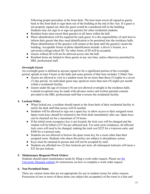following proper procedure at the front desk. The host must escort all signed-in guests back to the front desk to sign them out of the building at the end of the visit. If a guest is not properly signed out, then the guest would be considered still in the building. Students may not sign in or sign out guest(s) for other residential students.

- Resident hosts must escort their guest(s) at all times within the hall.
- Photo identification will be required for each guest. It is the responsibility of each host to inform their guests that they need identification to be permitted into the residence halls. Photo identification of the guest(s) will remain at the desk until the guest(s) vacate the building. Acceptable forms of photo identification include: a driver's license, or a university/college/school ID. No other forms of ID will be accepted.
- Guests without ID will not be allowed access into the hall.
- Resident hosts are limited to three guests at any one time, unless otherwise permitted by HRL professional staff.

# *Overnight Guests*

An overnight guest is defined as anyone signed in for a significant portion of the overnight period, spends at least 4 hours in the halls and some portion of that time includes 3:30am-7am.

- Guests are allowed to visit in a student room for no more than three (3) nights in a seven (7) day period. An individual guest may spend no more than nine (9) nights per month within a residential facility.
- Guests under the age of sixteen (16) are not allowed overnight in the residence halls. Limited exceptions may be made with advance notice and written parental consent provided to the HRL professional staff that oversees the residential facility.

#### **4. Lockout Policy**

- When locked out, a resident should report to the front desk of their residential facility to notify the desk staff that access will be needed.
- Students will be allowed to sign out a spare key to allow access to their assigned room. Spare room keys should be returned to the front desk immediately after use. Spare keys can be checked out for a maximum of 24 hours.
- If the initial room occupancy key is not located, the lock core will be changed and the student will be billed a \$75 fee per affected lock. For suite-style residences, all affected lock cores will need to be changed, making the total cost \$225 for a 4-person suite, and \$300 for a 6-person suite.
- Students are not allowed to borrow the spare room key for a room other than their assigned room. Students who abuse this policy are subject to disciplinary action.
- Keys must be returned in person and will not be accepted by mail.
- Students are afforded two (2) free lockouts per term, all subsequent lockouts will incur a \$25 fee per lockout.

#### **5. Maintenance Requests/Work Orders**

Students should report maintenance needs by filing a work order request. Please see [the](http://drexel.edu/housing) [University Housing website](http://drexel.edu/housing) for instructions on how to complete a work order request.

#### **6. Non-Permitted Items**

There are various items that are not appropriate for use in student rooms for safety reasons. Possession of one or more of these items can subject the occupant(s) of the room to a fine and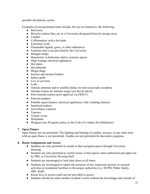possible disciplinary action.

Examples of non-permitted items include, but are not limited to, the following:

- Bed risers
- Bicycles (unless they are in a University-designated bicycle storage area)
- Candles
- Coffeemakers with a hot plate
- Extension cords
- Flammable liquids, gases, or other substances
- Furniture that is not provided by the University
- Halogen lamps
- Hammocks in bedrooms and/or common spaces
- High-wattage electrical appliances
- Hot plates
- Hoverboards
- Illegal drugs
- Incense and incense holders
- Indoor grills
- Live or cut trees
- Lofts
- Outside antennas and/or satellite dishes for television/radio reception
- Outside routers for Internet usage (see drexel.edu/it)
- Pets/Animals (unless prior approval via OED-5)
- Popcorn poppers
- Portable space heaters; electrical appliances with a heating element
- Sandwich makers
- Surveillance cameras
- Toasters
- Toaster ovens
- Waterbeds
- Weapons (see Weapons policy in the Code of Conduct for definitions)

# **7. Open Flames**

Open flames are not permitted. The lighting and burning of candles, incense, or any other item with an open flame is not permitted. Candles are not permitted for decorative purposes.

#### **8. Room Assignments and Access**

- Students are only permitted to reside in their assigned spaces through University Housing.
- Students are only permitted to switch rooms or bed spaces when authorized and approved by HRL or University Housing Staff.
- Students are encouraged to lock their doors at all times.
- Students are encouraged to report the presence of any suspicious persons or unusual activities in residential facilities to the proper authorities (i.e. DUPD, Public Safety, HRL Staff).
- Room keys or access cards are not provided to guests.
- Students should not enter another resident's room without the knowledge and consent of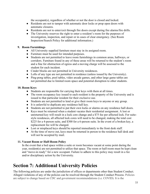the occupant(s), regardless of whether or not the door is closed and locked.

- Residents are not to tamper with automatic door locks or prop open doors with automatic closures.
- Residents are not to enter/exit through fire doors except during fire alarms/fire drills.
- The University reserves the right to enter a resident's room for the purposes of investigation, inspection, and repair or in cases of clear emergency. (See Room Inspection/Search Policy for additional information.)

# **9. Room Furnishings**

- All University supplied furniture must stay in its assigned room.
- Furniture must be used for intended purposes.
- Students are not permitted to leave room furnishings in common areas, hallways, or corridors. Furniture found in any of these areas will be returned to the student's room and a fine for obstruction of egress and a moving charge will be assessed to the student for each incident.
- Cinder blocks are not permitted in University residences.
- Lofts of any type are not permitted in residence (unless issued by the University).
- Ping-pong tables, pool tables, video arcade games, and other large game tables are not permitted due to limited room space and potential disruption to other students.

#### **10. Room Keys**

- Students are responsible for carrying their keys with them at all times.
- The room occupancy key issued to each resident is the property of the University and is issued to that particular resident for their exclusive use.
- Students are not permitted to lend or give their room keys to anyone or any group.
- It is unlawful to duplicate any residence hall key.
- Students are not permitted to put their own locks or alarms on any residence hall doors.
- Keys must be returned when a student vacates their residential assignment. A lost or unreturned key will result in a lock core change and a \$75 fee per affected lock. For suitestyle residences, all affected lock cores will need to be changed, making the total cost \$225 for a 4-person suite, and \$300 for a 6-person suite. In the event of a broken key, a replacement fee will be charged.
- Lost or misplaced keys should be reported immediately to the front desk staff.
- At the time of move out, keys must be returned in person to the residence hall desk and will not be accepted by mail.

# **11. Vacant Room or Half-Room Policy**

In the event that a bed space within a suite or room becomes vacant at some point during the year, resident(s) are not permitted to utilize that space. The room or half-room must be kept clean and "move-in ready" for a new occupant. Failure to adhere to this policy may result in a fee and/or disciplinary action by the University.

# **Section 7: Additional University Policies**

The following policies are under the jurisdiction of offices or departments other than Student Conduct. Alleged violations of any of the policies can be resolved through the Student Conduct Process. Policies are subject to change based on CDC and government recommendations (i.e. COVID). It is the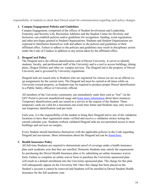responsibility of students to check their Drexel email for communication regarding such policy changes.

#### **1. Campus Engagement Policies and Guidelines**

Campus Engagement, comprised of the offices of Student Involvement and Leadership, Fraternity and Sorority Life, Recreation Athletics and the Student Center for Diversity and Inclusion, can establish policies and/or guidelines for recognition, funding, event registration, and other privileges granted to Student Organizations. Students and Student Organizations are expected to familiarize themselves with and adhere to the policies and guidelines of their affiliated office. Failure to adhere to the policies and guidelines may result in disciplinary action under the Code of Conduct in addition to any action taken by the affiliated office.

#### **2. DragonCard Policy**

The DragonCard is the official identification card of Drexel University. It serves to identify students, faculty, and professional staff of the University and is a tool to access buildings, dining plans, Dragon Dollars and other on- campus services. The DragonCard is the property of Drexel University and is governed by University regulations.

DragonCards are issued only to Students who are registered for classes (or are on an official coop assignment) for the current term. The DragonCard must be carried at all times while on University-owned property, as Students may be required to produce proper Drexel identification to a Public Safety officer or University official.

All members of the University community can immediately mark their card as "lost" via the GET Portal to prevent unauthorized usage and [learn more information](http://drexel.edu/dragoncard) [a](http://drexel.edu/dragoncard)bout these instances. Temporary identification cards are issued as a service at the request of the Student. These temporary cards are valid for a maximum one-week time frame and Students may only receive one temporary identification card per term.

Each year, it is the responsibility of the student to bring their DragonCard to one of the validation locations to have their registration status verified and receive a validation sticker noting the current calendar year. Students without validated DragonCards are not permitted access to most buildings and services on campus.

Every Student should familiarize themselves with the applicable policies in the Code regarding DragonCard use/misuse. More information about the DragonCard can be [found here.](http://drexel.edu/dragoncard)

#### **3. Health Insurance Policy**

All full-time Students are required to demonstrate proof of coverage under a health insurance plan each academic year that they are enrolled. Domestic Students may satisfy the requirement by purchasing the Drexel Health Insurance plan or by submitting an online insurance waiver form. Failure to complete an online waiver form or purchase the University-sponsored plan will result in a default enrollment into the University-sponsored plan. The charge for this plan will subsequently appear on the University bill. Once this charge has been placed on the Student's account it cannot be removed and Students will be enrolled in Drexel Student Health Insurance for the full academic year.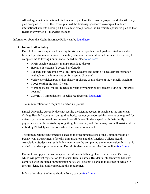All undergraduate international Students must purchase the University-sponsored plan (the only plan accepted in lieu of the Drexel plan will be Embassy-sponsored coverage). Graduate international students holding a J-1 visa must also purchase the University-sponsored plan so that federally governed J-1 mandates are met.

Information about the Health Insurance Policy can be [found here.](https://drexel.edu/studentlife/support_health_services/health_insurance_immunizations/)

# **4. Immunization Policy**

Drexel University requires all entering full-time undergraduate and graduate Students and all full- and part-time international Students (includes all visa holders and permanent residents) to complete the following immunization schedule, also [found here:](https://drexel.edu/counselingandhealth/insurance-immunizations/immunizations/)

- MMR vaccine: measles, mumps, rubella (2 doses)
- Hepatitis B vaccine (2 doses, 3 preferred)
- Tuberculosis screening by all full-time Students and testing if necessary (information available on the immunization form sent to Students)
- Varicella (chicken pox; either history of disease or two doses of the varicella vaccine)
- TDAP (within the past 10 years)
- Meningococcal (for all Students 21 years or younger or any student living in University housing)
- COVID-19 immunization (specific requirements [found here\)](https://drexel.edu/counselingandhealth/insurance-immunizations/immunizations/COVID-19Immunizations/)

The immunization form requires a doctor's signature.

Drexel University currently does not require the Meningococcal B vaccine as the American College Health Association, our guiding body, has not yet endorsed this vaccine as required for university students. We do recommend that all Drexel Students speak with their family physicians about the advisability of getting this vaccine, and if necessary, we will assist students in finding Philadelphia locations where the vaccine is available.

The immunization requirement is based on the recommendations of the Commonwealth of Pennsylvania Department of Health Immunizations and the American College Health Association. Students can satisfy this requirement by completing the immunization form that is mailed to students prior to entering Drexel. Students can access the form online [found](https://drexel.edu/studentlife/support_health_services/health_insurance_immunizations/) [here.](https://drexel.edu/studentlife/support_health_services/health_insurance_immunizations/)

Failure to comply with this policy will result in a hold being placed on the Student's record, which will prevent registration for the next term's classes. Residential students who have not complied with the stated immunization policy will also not be able to move into or remain in their residence hall until completing this requirement.

Information about the Immunization Policy can be [found here.](https://drexel.edu/studentlife/support_health_services/health_insurance_immunizations/)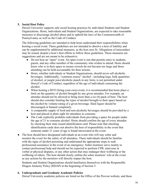# **5. Social Host Policy**

Drexel University supports safe social hosting practices by individual Students and Student Organizations. Hosts, individuals and Student Organizations, are expected to take reasonable measures to discourage alcohol abuse and to uphold the laws of the Commonwealth of Pennsylvania, as well as the Code of Conduct.

The following guidelines are intended to help hosts understand their responsibilities when hosting a social event. These guidelines are not intended to absolve a host of liability and can be supplemented by additional measures, as the host sees fit. Allegations of misconduct may be issued, despite a host's best efforts to follow these guidelines. These measures are suggestions and are not meant to be exhaustive.

- Do not host an "open" event. An open event is one that permits entry to students, guests, and any other member of the community who wishes to attend. Hosts should know who is in their space to ensure crowds do not become too large and those attending can be held accountable for their actions.
- Hosts, whether individuals or Student Organizations, should never sell alcoholic beverages. Additionally, "common source" alcohol - including kegs, bulk quantities of alcohol, or jungle juice/alcoholic punch in any form, is not permitted under Drexel's Code of Conduct, regardless of the age of individuals consuming the alcohol.
- When hosting a BYO (bring-your-own) event, it is recommended that hosts place a limit on the quantity of alcohol brought by any given attendee. For example, an attendee should not be allowed to bring more than a six (6)-pack of beer. The host should also consider limiting the types of alcohol brought to their space based on the alcohol-by-volume rating of a given beverage. Hard liquor should be discouraged or banned completely.
- A comparable supply of food and non-alcoholic beverages should be provided by a host and placed in plain sight for attendees to consume.
- The Code explicitly prohibits individuals from providing a space for people under the age of 21 to consume alcohol. Hosts should confirm the age of every attendee by checking their state issued identification card. Please note that checking identification cards does not absolve the host of responsibility in the event that someone under 21 years of age is found intoxicated at the event.
- The host should have designated individuals at an event who will stay sober and monitor the event for the safety of all attendees. These individuals should be familiar with the signs of alcohol poisoning and understand the appropriate steps to seek professional assistance in the event of an emergency. Sober monitors serve mainly to contact professional help and should not be expected to perform CPR, intervene in verbal or physical disputes, or any other action that may endanger their wellbeing or the wellbeing of others. The host should clearly outline the sober monitors' role at the event as any actions by the monitors will directly impact the host.

Students and Student Organizations should familiarize themselves with the Responsible Dragon Amnesty Policy (RDAP) at the beginning of Section 5.

#### **6. Undergraduate and Graduate Academic Policies**

Drexel University academic policies are listed on the Office of the Provost website, and these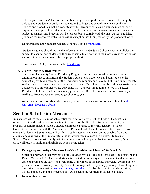policies guide students' decisions about their progress and performance. Some policies apply only to undergraduate or graduate students, and colleges and schools may have published policies and procedures that are consistent with University policies but impose more stringent requirements or provide greater detail consistent with the major/program. Academic policies are subject to change, and Students will be responsible to comply with the most current published policy on the respective websites unless an exception has been granted by the proper authority.

Undergraduate and Graduate Academic Policies can be [found here.](http://drexel.edu/provost/policies)

Graduate students should review the information on the Graduate College website. Policies are subject to change, and students will be responsible to comply with the most current policy unless an exception has been granted by the proper authority.

The Graduate College policies can be [found here.](http://drexel.edu/graduatecollege)

#### **7. 2-Year Residency Requirement**

The Drexel University 2-Year Residency Program has been developed to provide a living environment that complements the Student's educational experience and contributes to the Student's growth as a member of the University community and beyond. Full-time undergraduate students whose permanent address, as stated in their official University Record, is approximately outside of a 10-mile radius of the University City Campus, are required to live in a Drexel Residence Hall for their first (freshman) year and in a Drexel Residence Hall or University-Affiliated Housing for their second (sophomore) year.

Additional information about the residency requirement and exceptions can be found on [the](https://drexel.edu/campusservices/universityHousing/assignment-policies/2YrsResReq/)  [University](https://drexel.edu/campusservices/universityHousing/assignment-policies/2YrsResReq/) [Housing website.](https://drexel.edu/campusservices/universityHousing/assignment-policies/2YrsResReq/)

# **Section 8: Interim Measures**

In instances where there is a reasonable belief that a serious offense of the Code of Conduct has occurred, or that the safety and well-being of members of the Drexel University community or property is compromised, Student Conduct can impose a range of Interim Measures. Student Conduct, in conjunction with the Associate Vice President and Dean of Student Life, as well as any relevant University departments, will perform a safety assessment based on the specific facts and circumstances known at the time to determine if interim measures are appropriate. Students or Student Organizations must comply with the requirements of the particular interim measure, failure to do so will result in additional disciplinary action being taken.

#### **1. Emergency Authority of the Associate Vice President and Dean of Student Life**

Situations may arise that may not be fully covered by this Code, the Associate Vice President and Dean of Student Life (AVP) or designee is granted the authority to act when an incident occurs that compromises the safety and well-being of members of the Drexel University community or preservation of University property. Students are required to report any pending felony charges to the University by emailing studentconduct  $(a)$  drexel.edu. To be clear and to avoid confusion, tickets, citations, and misdemeanors do **NOT** need to be reported to Student Conduct.

#### **2. Interim Suspension**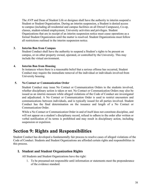The AVP and Dean of Student Life or designee shall have the authority to interim suspend a Student or Student Organization. During an interim suspension, a Student is denied access to campus (including all residential and campus facilities on all Drexel Campuses), Co-op, classes, student-related employment, University activities and privileges. Student Organizations that are in receipt of an interim suspension notice must cease operations as a formal Student Organization until the matter is resolved. Student Organizations must follow all restrictions outlined in the interim suspension notice.

#### **3. Interim Ban from Campus**

Student Conduct shall have the authority to suspend a Student's rights to be present on campus, or on other property owned, operated, or controlled by the University. This may include the virtual environment.

#### **4. Interim Ban from Housing**

In instances where there is a reasonable belief that a serious offense has occurred, Student Conduct may require the immediate removal of the individual or individuals involved from University housing.

#### **5. No Contact or Communication Order**

Student Conduct may issue No Contact or Communication Orders to the students involved, whether disciplinary action is taken or not. No Contact or Communication Orders may also be issued as an interim measure while alleged violations of the Code of Conduct are investigated and adjudicated. A No Contact or Communication Order is used to restrict encounters and communications between individuals, and is typically issued for all parties involved. Student Conduct has the final determination on the issuance and length of a No Contact or Communication Order.

While a No Contact or Communication Order in and of itself does not constitute discipline, and will not appear on a student's disciplinary record, refusal to adhere to the order after written or verbal notification of its terms is prohibited and may result in disciplinary action, including suspension or expulsion.

# <span id="page-37-0"></span>**Section 9: Rights and Responsibilities**

<span id="page-37-1"></span>Student Conduct has developed a fundamentally fair process to resolve cases of alleged violations of the Code of Conduct. Students and Student Organizations are afforded certain rights and responsibilities in this process.

# **I. Student and Student Organization Rights**

All Students and Student Organizations have the right:

1. To be presumed not responsible until information or statements meet the preponderance of the evidence standard.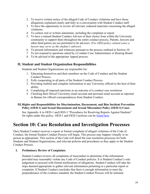- 2. To receive written notice of the alleged Code of Conduct violations and have those allegations explained clearly and fully in a conversation with Student Conduct staff.
- 3. To have the opportunity to review all relevant, redacted materials concerning the alleged violations.
- 4. To contest oral or written statements, including the complaint or report.
- 5. To have a trained Student Conduct Advisor of their choice from within the University community to support them throughout the entire conduct process. Parents, lawyers and other third parties are not permitted to be advisors. *(For OED policy related cases a lawyer may serve as the student's advisor).*
- 6. To present information and witnesses pursuant to the process outlined in Section 10.
- 7. To not respond to questions asked by a Conduct Case Administrator or Hearing Board.
- 8. To be advised of the appropriate Appeal process.

# <span id="page-38-0"></span>**II. Student and Student Organization Responsibilities**

Students and Student Organizations are responsible for:

- 1. Educating themselves and their members on the Code of Conduct and the Student Conduct Process.
- 2. Fully cooperating in all parts of the Student Conduct Process.
- 3. Providing truthful and complete information to any University official to the best of their ability.
- 4. Completing all imposed sanctions as an outcome of a conduct case resolution.
- 5. Checking their Drexel University email account and personal email account as reported in Banner for official correspondences from Student Conduct.

#### <span id="page-38-1"></span>**III.Rights and Responsibilities for Discrimination, Harassment, and Bias Incident Prevention Policy (OED-1) and Sexual Harassment and Sexual Misconduct Policy (OED-3) Cases**

See Appendix A to OED-1 and OED-3 "Procedures for Resolving Reports Against Students" for rights under this policy. OED-1 and OED-3 policies can be <u>found here</u>.

# <span id="page-38-2"></span>**Section 10: Case Resolution and Investigation Processes**

Once Student Conduct receives a report or formal complaint of alleged violations of the Code of Conduct, the formal Student Conduct Process will begin. This process may happen virtually or inperson as appropriate. This section of the Code will detail the case resolution processes for both Students and Student Organizations, and relevant policies and procedures as they apply to the Student Conduct Process.

#### **I. Preliminary Review of Complaints**

Student Conduct reviews all complaints of misconduct to determine if the information provided may reasonably violate any Code of Conduct policies. It is Student Conduct's sole judgement to proceed with formal notifications of allegations. Student Conduct will take the steps deemed appropriate to gather relevant information pertaining to a particular report or complaint. If Student Conduct concludes that there is enough information to meet the preponderance of the evidence standard, the Student Conduct Process will be initiated.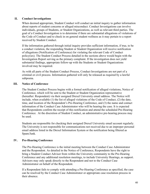#### **II. Conduct Investigations**

When deemed appropriate, Student Conduct will conduct an initial inquiry to gather information about reports of student concerns or alleged misconduct. Conduct Investigations can involve individuals, groups of Students, or Student Organizations, as well as relevant third parties. The goal of a Conduct Investigation is to determine if there are substantial allegations of violations of the Code of Conduct and to check in on general student wellness as it may pertain to a report received by Student Conduct.

If the information gathered through initial inquiry provides sufficient information, if true, to be a conduct violation, the responding Student or Student Organization will receive notification of allegations (Notification of Conference) for violating the relevant Code of Conduct policy(ies). The Student Conduct Process detailed in the sections above would begin with the Investigation Report serving as the primary complaint. If the investigation does not yield substantial findings, appropriate follow-up with the Students or Student Organizations involved may be required.

As with all parts of the Student Conduct Process, Conduct Investigations are not part of a criminal or civil process. Information gathered will only be released as required by a lawful subpoena.

#### **III. Notice of Conference**

The Student Conduct Process begins with a formal notification of alleged violations, Notice of Conference, which will be sent to the Student or Student Organization representative (hereafter: Respondent) via their assigned Drexel University email address. The Notice will include, when available (1) the list of alleged violations of the Code of Conduct, (2) the date, time, and location of the Respondent's Pre-Hearing Conference, and (3) the name and contact information of the Conduct Case Administrator who will be hearing the case. It is expected that Respondents confirm the receipt of this notification and attend the scheduled Pre-Hearing Conference. At the discretion of Student Conduct, an administrative pre-hearing process may be used.

Students are responsible for checking their assigned Drexel University email account regularly. The University is not responsible for communications not received due to an improper personal email address listed in the Drexel Information System or the notification being filtered as Spam/Junk.

#### **IV. Pre-Hearing Conference**

The Pre-Hearing Conference is the initial meeting between the Conduct Case Administrator and the Respondent. As detailed in the Notice of Conference, Respondents have the right to bring a Student Conduct Advisor from within the University community to the Pre-Hearing Conference and any additional resolution meetings, to include University Hearings, as support. Advisors may only speak directly to the Respondent and not to the Conduct Case Administrator on behalf of the Respondent.

If a Respondent fails to comply with attending a Pre-Hearing Conference as specified, the case can be resolved by the Conduct Case Administrator or appropriate case resolution process in their absence.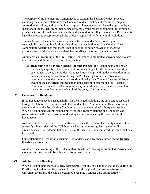The purpose of the Pre-Hearing Conference is to explain the Student Conduct Process, including the alleged violations of the Code of Conduct, methods of resolution, range of appropriate sanctions, and opportunities to appeal. Respondents will have the opportunity to speak about the incident from their perspective, review the report or complaint information, present witness information or statements, and respond to the alleged violations. Respondents have the choice to accept responsibility or deny responsibility for any or all violations.

The resolution of the conduct case depends on the Respondent's acknowledgement of responsibility decision. In addition, allegations can be withdrawn if the Conduct Case Administrator determines that there is not enough information provided to meet the preponderance of the evidence standard that the allegation of misconduct occurred.

Audio or visual recording of the Pre-Hearing Conference is prohibited. Anyone who violates this directive will be subject to disciplinary action.

a) **Requesting to delay the Student Conduct Process:** If a Respondent is facing or reasonably expects to face concurrent criminal charges for the same incident, they can request to delay the Student Conduct Process by providing documentation of the concurrent charges prior to or during the Pre-Hearing Conference. Respondents wanting to delay the conduct process should make their Conduct Case Administrator aware of the concurrent charges either at the start of or prior to the Pre-Hearing Conference. Student Conduct reviews every request on an individual basis and has the authority to determine the length of the delay, if it is granted.

#### **V. Collaborative Resolution**

If the Respondent accepts responsibility for the alleged violations, the case can be resolved through Collaborative Resolution with the Conduct Case Administrator. This can occur at the same time as the Pre-Hearing Conference or at a predetermined subsequent meeting. When a Respondent accepts responsibility for the alleged violations, the Conduct Case Administrator will be responsible for deciding and communicating the sanctions to the Respondent.

An Outcome Letter will be sent to the Respondent via their Drexel University email within seven (7) calendar days of the Collaborative Resolution meeting, barring extraordinary circumstances. The Outcome Letter will detail the sanctions, relevant deadlines, and methods for appeal.

For Collaborative Resolution decisions, Respondents can only appeal based on the **Unduly Harsh Sanction** criteria.

Audio or visual recording of the Collaborative Resolution meeting is prohibited. Anyone who violates this directive will be subject to disciplinary action.

#### **VI. Administrative Hearing**

When a Respondent chooses to deny responsibility for any or all alleged violations during the Pre-Hearing Conference, the case can be resolved through either an Administrative or University Hearing at the sole discretion of a separate Conduct Case Administrator.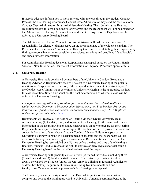If there is adequate information to move forward with the case through the Student Conduct Process, the Pre-Hearing Conference Conduct Case Administrator may send the case to another Conduct Case Administrator for an Administrative Hearing. The Administrative Hearing resolution process follows a documents-only format and the Respondent will not be present for the Administrative Hearing. All cases that could result in Suspension or Expulsion will be referred to a University Hearing Board.

The Administrative Hearing Conduct Case Administrator will make a determination of responsibility for alleged violations based on the preponderance of the evidence standard. The Respondent will receive an Administrative Hearing Outcome Letter detailing their responsibility findings (responsible or not responsible), the assigned sanctions and deadlines (if applicable), and appeal process information.

For Administrative Hearing decisions, Respondents can appeal based on the Unduly Harsh Sanction, New Information, Insufficient Information, or Improper Procedure appeal criteria.

#### **VII. University Hearing**

A University Hearing is conducted by members of the University Conduct Board and a Hearing Advisor. A Respondent's case will be sent to a University Hearing if the potential sanctions are Suspension or Expulsion, if the Respondent is a Student Organization, or if the Conduct Case Administrator determines a University Hearing is the appropriate method for case resolution. Student Conduct has the final determination of whether a case will be referred to a University Hearing.

*For information regarding the procedure for conducting hearings related to alleged violations of the University's Discrimination, Harassment, and Bias Incident Prevention Policy (OED-1) and Sexual Harassment and Sexual Misconduct Policy (OED-3), please review the appropriate policy [here.](https://drexel.edu/oed/policies/overview/)*

Respondents will receive a Notification of Hearing via their Drexel University email account detailing (1) the date, time, and location of the Hearing, (2) the name and contact information of the Hearing Advisor, and (3) instructions on how to prepare for the Hearing. Respondents are expected to confirm receipt of the notification and to provide the name and contact information of their chosen Student Conduct Advisor. Failure to appear at the University Hearing will result in a decision made in absentia and the Respondent will be responsible for any sanctions assigned as an outcome. Respondents can request that the University Hearing be rescheduled one (1) time before the date and time of the Hearing is finalized. Student Conduct reserves the right to approve or deny requests to reschedule a University Hearing based on the individualized nature of the request.

A University Hearing will generally consist of five (5) trained individuals including three (3) students and two (2) faculty or staff members. The University Hearing Board will always be chaired by a student (unless the University is utilizing an External Adjudicator as described below). A quorum of three (3), including two (2) students and one faculty or staff member, must be present to hold a Hearing or an Appeal.

The University reserves the right to utilize an External Adjudicator for cases that are complex and beyond the training provided to University Conduct Board members, at the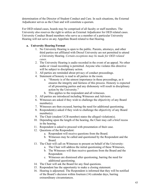determination of the Director of Student Conduct and Care. In such situations, the External Adjudicator serves as the Chair and will constitute a quorum.

For OED related cases, boards may be comprised of all faculty or staff members. The University also reserves the right to utilize an External Adjudicator for OED related cases. University Conduct Board members who serve as a member of a particular University Hearing will not serve on any Appellate Board related to that Hearing.

#### **a. University Hearing Format**

- 1. No University Hearing is open to the public. Parents, attorneys, and other third parties not affiliated with Drexel University are not permitted to attend a University Hearing. *Certain exceptions may be made for OED related cases.*
- 2. The University Hearing is audio recorded in the event of an appeal. No other audio or visual recording is permitted. Anyone who violates this directive will be subject to disciplinary action.
- 3. All parties are reminded about privacy of conduct proceedings.
- 4. Statement of honesty is read to all parties in the room.
	- a. "Honesty is of the utmost importance in these proceedings, as it ensures the integrity and fairness of this process. Honesty is expected of all presenting parties and any dishonesty will result in disciplinary action by the University."
	- b. This applies to the respondent and all witnesses.
- 5. All parties are introduced including Witnesses and Advisors.
- 6. Witnesses are asked if they wish to challenge the objectivity of any Board member(s).
- 7. Witnesses are then excused, barring the need for additional questioning.
- 8. Respondent(s) asked if they wish to challenge the objectivity of any Board member(s).
- 9. The Chair (student UCB member) states the alleged violation(s).
- 10. Depending upon the length of the hearing, the Chair may call a brief recess in the hearing.
- 11. Respondent is asked to proceed with presentation of their case.
- 12. Questions of the Respondent:
	- a. Respondent will receive questions from the Board.
	- b. Witnesses may be called and questioned by the Respondent and the Board.
- 13. The Chair will call on Witnesses to present on behalf of the University:
	- a. The Chair will address the initial questioning of these Witnesses,
	- b. The Witnesses will then receive questions from the Board and the Respondent.
	- c. Witnesses are dismissed after questioning, barring the need for additional questioning.
- 14. The Chair will ask the Board for any final questions.
- 15. Respondent has the opportunity to make a closing statement.
- 16. Hearing is adjourned. The Respondent is informed that they will be notified of the Board's decision within fourteen (14) calendar days, barring extraordinary circumstances.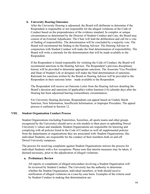#### **b. University Hearing Outcomes**

After the University Hearing is adjourned, the Board will deliberate to determine if the Respondent is responsible or not responsible for the alleged violations of the Code of Conduct based on the preponderance of the evidence standard. In complex or unique circumstances as determined by the Director of Student Conduct and Care, the Board may consist of an External Adjudicator. The Chair will lead the deliberation and call for a vote of finding of responsibility. The determination will be concluded by a majority vote. The Board will recommend the finding to the Hearing Advisor. The Hearing Advisor in conjunction with Student Conduct will make the final determination of responsibility. The Board will write a rationale for the determination that will be made available to the Respondent.

If the Respondent is found responsible for violating the Code of Conduct, the Board will recommend sanctions to the Hearing Advisor. The Respondent's previous disciplinary history will be provided to determine appropriate sanctions. The Associate Vice President and Dean of Student Life or designee will make the final determination of sanctions. Rationale for sanctions written by the Board or Hearing Advisor will be provided to the Respondent in their outcome letter. made available to the Respondent.

The Respondent will receive an Outcome Letter from the Hearing Advisor detailing the Board's decision and sanctions (if applicable) within fourteen (14) calendar days after the Hearing has been adjourned barring extraordinary circumstances.

For University Hearing decisions, Respondents can appeal based on Unduly Harsh Sanction, New Information, Insufficient Information, or Improper Procedure. The appeal process is outlined in Section 12.

#### **VIII. Student Organization Conduct Process**

Student Organizations (including Fraternities, Sororities, all sports teams and other groups recognized by the University) should serve as role models to their peers in upholding Drexel University's values and standards. Student Organizations are responsible for knowing and complying with all policies listed in the Code of Conduct as well all supplemental policies from the departments or organizations they are associated with. Student Organizations, like individual Students, are responsible for the conduct of their members both on and off Drexel University campuses.

The process for resolving complaints against Student Organizations mirrors the process for individual Students with a few exceptions. Please note that interim measures may be taken, if deemed necessary, prior to the adjudication of alleged violations.

#### **a. Preliminary Review**

All reports or complaints of alleged misconduct involving a Student Organization will be reviewed by Student Conduct. The University has the authority to determine whether the Student Organization, individual members, or both should receive notification of alleged violations on a case-by-case basis. Examples of the criteria used by Student Conduct in making that determination are: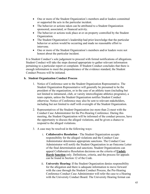- One or more of the Student Organization's members and/or leaders committed or supported the acts in the particular incident.
- The behavior or actions taken can be attributed to a Student Organization sponsored, associated, or financed activity.
- The behavior or actions took place at or on property controlled by the Student Organization.
- The Student Organization's leadership had prior knowledge that the particular behavior or action would be occurring and made no reasonable effort to intervene.
- One or more of the Student Organization's members and/or leaders were not honest about the particular incident.

It is Student Conduct's sole judgement to proceed with formal notifications of allegations. Student Conduct will take the steps deemed appropriate to gather relevant information pertaining to a particular report or complaint. If Student Conduct concludes that there is enough information to meet the preponderance of the evidence standard, the Student Conduct Process will be initiated.

#### **b. Student Organization Conduct Process**

- 1. Notice of Conference sent to the Student Organization Representative. The Student Organization Representative will generally be presumed to be the president of the organization, or in the case of an athletic team (including but not limited to intramural, club, or varsity intercollegiate athletics programs), a team captain, unless the Student Organization notifies Student Conduct otherwise. Notice of Conference may also be sent to relevant stakeholders, including but not limited to staff with oversight of the Student Organization.
- 2. Representatives of the Student Organization (no more than 2) meet with the Conduct Case Administrator for the Pre-Hearing Conference. During this meeting, the Student Organization will be informed of the conduct process, have the opportunity to discuss the alleged violations, and be given a chance to respond to the alleged violations.
- 3. A case may be resolved in the following ways:
	- i. **Collaborative Resolution**  The Student Organization accepts responsibility for the alleged violations and the Conduct Case Administrator determines appropriate sanctions. The Conduct Case Administrator will notify the Student Organization in an Outcome Letter of the final determination and sanctions. Student Organizations can appeal Collaborative Resolution decisions on the criteria of **Unduly Harsh Sanction** only. Definitions, criteria, and the process for appeals can be found in Section 12 of the Code.
	- ii. **University Hearing:** If the Student Organization denies responsibility for the allegation and there is adequate information to move forward with the case through the Student Conduct Process, the Pre-Hearing Conference Conduct Case Administrator will refer the case to a Hearing with the University Conduct Board. The University Hearing format can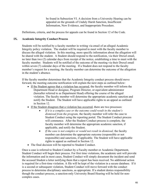be found in Subsection VI. A decision from a University Hearing can be appealed on the grounds of Unduly Harsh Sanction, Insufficient Information, New Evidence, and Inappropriate Procedure.

Definitions, criteria, and the process for appeals can be found in Section 12 of the Code.

#### **IX. Academic Integrity Conduct Process**

Students will be notified by a faculty member in writing via email of an alleged Academic Integrity policy violation. The student will be required to meet with the faculty member to discuss the alleged violation. In this meeting, more specific information about the allegation will be shared with the student. A Student should respond to the notification, via their Drexel email, no later than two (2) calendar days from receipt of the notice, establishing a time to meet with the faculty member. Students will be notified of the outcome of the meeting via their Drexel email within seven (7) calendar days of the meeting. If a Student does not respond to the faculty member's request for a meeting, the faculty member can determine the outcome of the allegation in the student's absence.

If the faculty member determines that the Academic Integrity conduct process should move forward, the meeting outcome notification will explain the next steps as outlined below:

- If the Student agrees that a violation has occurred, the faculty member will inform the Department Head or designee, Program Director, or equivalent administrator (hereafter referred to as Department Head) offering the course of the alleged violation. The faculty member will determine the appropriate academic sanction and notify the Student. The Student will have applicable rights to an appeal as outlined in Section 12.
- If the Student disagrees that a violation has occurred, there are two processes:
	- *If it is a complex case or the outcome could result in the student's dismissal from the program,* the faculty member will refer the case to Student Conduct using the reporting [portal.](https://drexel.edu/studentlife/community_standards/reporting-student-misconduct/) The Student Conduct process will commence. After the Student Conduct process is complete, the faculty member will determine the appropriate academic sanction, if applicable, and notify the Student.
	- *If the case is not complex or would not result in dismissal,* the faculty member can determine the appropriate outcome (responsible or not responsible) and sanctions, if applicable. The Student will have applicable rights to appeal as outlined in Section 12.
- The final decision will be reported to Student Conduct.

Once a case is referred to Student Conduct by a Faculty member or Academic Department, Student Conduct will begin their process. For first time violations, the academic unit will provide the information and in most cases, Student Conduct will simply document the incident and send the accused Student a letter notifying them that a report has been received. No additional action is required for a first-time violation. A file will be kept of the violation in a secure database. If it is a second or subsequent violation, Student Conduct will move forward with the conduct process to determine disciplinary sanctions, as appropriate. If a student denies responsibility though the conduct process, a sanction-only University Board Hearing will be held for noncomplex cases.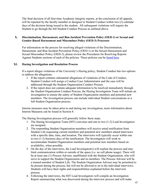The final decision of all first-time Academic Integrity reports, at the conclusion of all appeals, will be reported by the faculty member or designee to Student Conduct within two (2) calendar days of the decision being issued to the student. All subsequent violations will require the Student to go through the full Student Conduct Process as outlined above.

#### **X. Discrimination, Harassment, and Bias Incident Prevention Policy (OED-1) or Sexual and Gender-Based Harassment and Misconduct Policy (OED-3) Processes**

For information on the process for resolving alleged violations of the Discrimination, Harassment, and Bias Incident Prevention Policy (OED-1) or the Sexual Harassment and Sexual Misconduct Policy (OED-3), please review the Procedures for Resolving Reports Against Students sections of each of the policies. These policies can be [found here.](https://drexel.edu/oed/policies/overview/)

#### **XI. Hazing Investigation and Resolution Process**

If a report alleges violations of the University's Hazing policy, Student Conduct has two options to address the allegations.

- 1. If the report contains substantial allegations of violations of the Code of Conduct, Student Conduct will assign a Conduct Case Administrator and the case will be addressed through the Student Organization Conduct Process.
- 2. If the report does not contain adequate information to be resolved immediately through the Student Organization Conduct Process, the Hazing Investigation Team will initiate an investigation to ensure the safety of Student Organization members and potential new members. The investigation process can include individual Student conversations or a full Student Organization process.

Interim measures may be taken prior to and during any investigation, more information about Interim Measures can be found in Section 8.

The Hazing Investigation process will generally follow these steps.

- 1. The Hazing Investigation Team (HIT) convenes and one to two (1-2) Lead Investigators are assigned.
- 2. The responding Student Organization members will receive email notification from Student Life requesting current members and potential new members attend interviews with a specific date, time, and location. The interviews will typically occur within one to two (1-2) business days of the notification. The Investigators will work to accommodate Student Organization members and potential new members based on availability, when possible.
- 3. On the day of the interviews, the Lead Investigator(s) will explain the process and may limit communication within or outside of the space (i.e. no cell phone usage). There will be at least one (1) Process Advisor, unaffiliated with the Student Organization, who will serve to support the Student Organization and its members. The Process Advisor will be a trained member of Student Life. The Student Organization Advisor may be permitted to be present during the process, but will not be allowed to sit in the individual interviews. Students will have their rights and responsibilities explained before the interview process.
- 4. Following the interviews, the HIT Lead Investigators will compile an Investigation Report summarizing what was discovered during the interview process and will make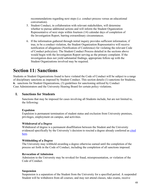recommendations regarding next steps (i.e. conduct process versus an educational conversation).

- 5. Student Conduct, in collaboration with relevant stakeholders, will determine whether to pursue additional actions and will inform the Student Organization Representative of next steps within fourteen (14) calendar days of completion of the Investigation Report, barring extraordinary circumstances.
- 6. If the information gathered through initial inquiry provides sufficient information, if true, to be a conduct violation, the Student Organization Representative will receive notification of allegations (Notification of Conference) for violating the relevant Code of Conduct policy(ies). The Student Conduct Process detailed in the sections above would begin with the Investigation Report serving as the primary complaint. If the investigation does not yield substantial findings, appropriate follow-up with the Student Organizations involved may be required.

# <span id="page-47-0"></span>**Section 11: Sanctions**

<span id="page-47-1"></span>Students or Student Organizations found to have violated the Code of Conduct will be subject to a range of disciplinary sanctions as imposed by Student Conduct. This section details (1) sanctions for Students, **6.** sanctions for Student Organizations, (3) guidelines for sanctioning utilized by Conduct Case Administrators and the University Hearing Board for certain policy violations.

# **I. Sanctions for Students**

Sanctions that may be imposed for cases involving all Students include, but are not limited to, the following:

#### **Expulsion**

Expulsion is permanent termination of student status and exclusion from University premises, privileges, employment on campus, and activities.

#### **Withdrawal of a Degree**

Withdrawal of degree is a permanent disaffiliation between the Student and the University evidenced specifically by the University's decision to rescind a degree already conferred as [cited](http://drexel.edu/provost/policies/%20withdrawal_degree) [here.](http://drexel.edu/provost/policies/%20withdrawal_degree)

#### **Withholding of a Degree**

The University may withhold awarding a degree otherwise earned until the completion of the process set forth in the Code of Conduct, including the completion of all sanctions imposed.

#### **Revocation of Admission**

Admission to the University may be revoked for fraud, misrepresentation, or violation of the Code of Conduct.

#### **Suspension**

Suspension is a separation of the Student from the University for a specified period. A suspended Student will be withdrawn from all courses; and may not attend classes, take exams, receive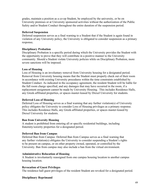grades, maintain a position as a co-op Student, be employed by the university, or be on University premises or at University sponsored activities without the authorization of the Public Safety and/or Student Conduct throughout the entire duration of the suspension period.

### **Deferred Suspension**

Deferred suspension serves as a final warning to a Student that if the Student is again found in violation of any University policy, the University is obligated to consider suspension as a primary response**.**

# **Disciplinary Probation**

Disciplinary Probation is a specific period during which the University provides the Student with the opportunity to prove that they will contribute in a positive manner to the University community. Should a Student violate University policies while on Disciplinary Probation, more severe sanctions will be imposed.

# **Loss of Housing**

Loss of Housing is an involuntary removal from University housing for a designated period. Removal from University housing means that the Student must properly check out of their room in accordance with existing University procedures within the time constraints established by Student Conduct. As indicated in the occupancy agreement, the resident Student will be liable for the full room charge specified, and any damages that may have occurred in the room, if a replacement assignment cannot be made by University Housing. This includes Residence Halls, any Greek-affiliated properties, or spaces master-leased by Drexel University for students.

# **Deferred Loss of Housing**

Deferred Loss of Housing serves as a final warning that any further violation(s) of University policy obligates the University to consider Loss of Housing privileges as a primary response. This includes Residence Halls, any Greek-affiliated properties, or spaces master-leased by Drexel University for students.

# **Ban from University Housing**

A student is prohibited from entering all or specific residential buildings, including fraternity/sorority properties for a designated period.

#### **Deferred Ban from Campus**

Deferred Ban from Campus: Deferred Ban from Campus serves as a final warning that any further violation(s) obligates the University to consider suspending a Student's rights to be present on campus, or on other property owned, operated, or controlled by the University. Ban from campus may also include a ban from the virtual environment.

#### **Administrative Relocation of Housing**

A Student is involuntarily reassigned from one campus housing location to another campus housing location.

#### **Revocation of Guest Privileges**

The residence hall guest privileges of the resident Student are revoked for a designated period.

# **Disciplinary Reprimand**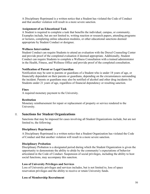A Disciplinary Reprimand is a written notice that a Student has violated the Code of Conduct and that another violation will result in a more severe sanction.

#### **Assignment of an Educational Task**

A Student is required to complete a task that benefits the individual, campus, or community. Examples include, but are not limited to, writing reaction or research papers, attending programs or lectures, completing online education modules, or other educational sanctions deemed appropriate by Student Conduct or designee.

#### **Wellness Intervention**

Student Conduct can require Students to attend an evaluation with the Drexel Counseling Center and provide proof of the completed evaluation if deemed appropriate. Additionally, Student Conduct can require Students to complete a Wellness Consultation with a trained administrator in the Health, Fitness, and Wellness Office and provide proof of the completed consultation.

#### **Notification of Parent or Legal Guardian**

Notification may be sent to parents or guardians of a Student who is under 18 years of age, or financially dependent on their parents or guardians, depending on the circumstances surrounding the incident. Parents or guardians may also be notified of alcohol and other drug incidents for Students under 21 years of age, regardless of financial dependency or resulting sanction.

#### **Fines**

A required monetary payment to the University.

#### **Restitution**

Monetary reimbursement for repair or replacement of property or service rendered to the University.

# <span id="page-49-0"></span>II. **Sanctions for Student Organizations**

Sanctions that may be imposed for cases involving all Student Organizations include, but are not limited to, the following:

#### **Disciplinary Reprimand**

A Disciplinary Reprimand is a written notice that a Student Organization has violated the Code of Conduct and that another violation will result in a more severe sanction.

#### **Disciplinary Probation**

Disciplinary Probation is a designated period during which the Student Organization is given the opportunity to demonstrate the ability to abide by the community's expectations of behavior articulated in the Code of Conduct. Suspension of social privileges, including the ability to host social functions, may accompany this sanction.

#### **Loss of University Privileges and Services**

Loss of University privileges and services includes, but is not limited to, loss of space reservation privileges and the ability to receive or retain University funds.

#### **Loss of Membership Recruitment**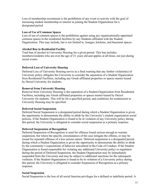Loss of membership recruitment is the prohibition of any event or activity with the goal of increasing student membership or interest in joining the Student Organization for a designated period.

#### **Loss of Use of Common Spaces**

Loss of use of common spaces is the prohibition against using any organizationally-appointed common spaces in the residential facilities by any Students affiliated with the Student Organization. This may include, but is not limited to, lounges, kitchens, and basement spaces.

#### **Alcohol Ban in Residential Facility**

Total ban of alcohol in University Housing for a given period. This ban includes members/residents who are over the age of 21 years old and applies at all times, not just during social events.

#### **Deferred Loss of University Housing**

Deferred Loss of University Housing serves as a final warning that any further violation(s) of University policy obligates the University to consider the separation of a Student Organization from Residential Facilities, including any Greek-affiliated properties or spaces master-leased by Drexel University for students.

#### **Removal from University Housing**

Removal from University Housing is the separation of a Student Organization from Residential Facilities, including any Greek-affiliated properties or spaces master-leased by Drexel University for students. This will be for a specified period, and conditions for readmission to University Housing may be specified.

#### **Deferred Social Suspension**

Deferred Social Suspension is a designated period during which a Student Organization is given the opportunity to demonstrate the ability to abide by the University's student organization social policies. If the Student Organization is found to be in violation of any University policy during this period, the University is obligated to consider social suspension as a primary response.

#### **Deferred Suspension of Recognition**

Deferred Suspension of Recognition is used for offenses found serious enough to warrant suspension, but where the specific circumstances of the case mitigate the offense, or may be issued for repeated offenses of a less serious nature. Deferred suspension is a designated period during which a Student Organization is given the opportunity to demonstrate the ability to abide by the community's expectations of behavior articulated in the Code of Conduct. If the Student Organization is found responsible for violating any additional University policy or regulation during the period of Deferred Suspension, the Student Organization may be immediately suspended from the University and may be subject to additional sanctions for the subsequent violation. If the Student Organization is found to be in violation of a University policy during this period, the University is obligated to consider Suspension of Recognition as a primary response.

#### **Social Suspension**

Social Suspension is the loss of all social function privileges for a defined or indefinite period. A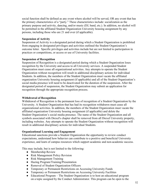social function shall be defined as any event where alcohol will be served, OR any event that has the primary characteristics of a "party." These characteristics include: socialization as the primary purpose and activity, dancing, and/or music (DJ, band, etc.). In addition, no alcohol will be permitted in the affiliated Student Organization University housing assignment by any persons, including those who are 21 and over (if applicable).

#### **Suspension of Activity**

Suspension of Activity is a designated period during which a Student Organization is prohibited from engaging in designated privileges and activities outlined the Student Organization's outcome letter. Specific privileges and activities include but are not limited to participation in practices or competitions, or access or use of University facilities.

#### **Suspension of Recognition**

Suspension of Recognition is a designated period during which a Student Organization loses recognition by the University and access to all University services. A suspended Student Organization must cease all organizational activities. Any attempts to operate the Student Organization without recognition will result in additional disciplinary actions for individual Students. In addition, the members of the Student Organization must vacate the affiliated organization University housing assignment (if applicable) and all of the Student Organization's social media presence will need to be deactivated for the duration of the suspension. After the designated period of suspension, the Student Organization may submit an application for recognition through the appropriate recognition process.

#### **Withdrawal of Recognition**

Withdrawal of Recognition is the permanent loss of recognition of a Student Organization by the University. A Student Organization that has had its recognition withdrawn must cease all organizational activities. In addition, the members of the Student Organization must vacate the affiliated organization University housing assignment (if applicable) and delete the Student Organization's social media presence. The name of the Student Organization and all symbols associated with Drexel's chapter shall be removed from all Drexel University property, including websites. Any attempts to operate the Student Organization without recognition will result in additional disciplinary actions for individual Students.

#### **Organizational Learning and Engagement**

Educational sanctions provide a Student Organization the opportunity to review conduct expectations, understand how behavior can contribute to a positive and beneficial University experience, and learn of campus resources which support academic and non-academic success.

This may include, but is not limited to the following:

- Membership Review
- Risk Management Policy Revision
- Risk Management Training
- Hazing Program/Training/Presentation
- Removal of Student Organization Officers
- Temporary or Permanent Restrictions on Accessing University Funds
- Temporary or Permanent Restrictions on Accessing University Facilities
- Educational Program The Student Organization is to host an educational program on a topic assigned by the Conduct Administrator. This program can be open to the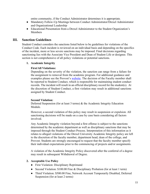entire community, if the Conduct Administrator determines it is appropriate.

- Mandatory Follow-Up Meetings between Conduct Administrator/Drexel Administrator and Organizational Leadership
- Educational Presentation from a Drexel Administrator to the Student Organization's Members

# <span id="page-52-0"></span>**III. Sanction Guidelines**

Student Conduct considers the sanctions listed below to be guidelines for violations of the Conduct Code. Each incident is reviewed on an individual basis and depending on the specifics of the incident, more or less severe sanctions may be imposed. Final decisions regarding sanctioning lies with the Associate Vice President and Dean of Student Life or designee. This section is not comprehensive of all policy violations or potential sanctions.

#### **1. Academic Integrity**

#### **First/All Violations:**

Depending on the severity of the violation, the sanction can range from a failure for the assignment to removal from the academic program. For additional guidance and examples please see the Provost's [website.](https://drexel.edu/provost/policies/academic-integrity/) The decision of the Faculty member shall be reported to Student Conduct, which is responsible for maintaining student conduct records. The incident will result in an official disciplinary record for the student(s). At the discretion of Student Conduct, a first violation may result in additional sanctions assigned by Student Conduct.

#### **Second Violation:**

Deferred Suspension (for at least 3 terms) & the Academic Integrity Education Module.

However, a second violation of this policy may result in suspension or expulsion. All sanctioning decisions will be made on a case by case basis considering all factors involved.

Any Academic Integrity violation beyond a first offense is subject to the sanctions determined by the academic department as well as disciplinary sanctions that may be imposed through the Student Conduct Process. Interpretation of this information as it relates to alleged violations of the Drexel University Academic Integrity policy are left to the discretion of the faculty member, department head, dean of the college, and Provost. Students are strongly encouraged to request that the faculty member specify their individual expectations prior to the commencing of projects and/or assignments.

A violation of the Academic Integrity Policy discovered after the conferral of a degree may result in subsequent Withdrawal of Degree.

#### **2. Acceptable Use Policy**

- First Violation: Disciplinary Reprimand
- Second Violation: \$100.00 Fine & Disciplinary Probation (for at least 1 term)
- Third Violation: \$500.00 Fine, Network Account Temporarily Disabled, Deferred Suspension (for at least 2 terms)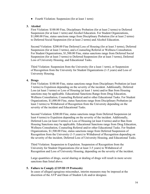• Fourth Violation: Suspension (for at least 1 term)

#### **3. Alcohol**

First Violation: \$100.00 Fine, Disciplinary Probation (for at least 2 terms) to Deferred Suspension (for at least 1 term) and Alcohol Education. For Student Organizations, \$1,000.00 Fine, status sanctions range from Disciplinary Probation (for at least 2 terms) to Deferred Social Suspension (for at least 2 terms) and Alcohol Education.

Second Violation: \$200.00 Fine Deferred Loss of Housing (for at least 3 terms), Deferred Suspension (for at least 3 terms), and a Counseling Referral or Wellness Consultation. For Student Organizations, \$1,500.00 Fine, status sanctions range from Deferred Social Suspension (for at least 3 terms) to Deferred Suspension (for at least 3 terms), Deferred Loss of University Housing, and Educational Tasks.

Third Violation: Suspension from the University (for a least 1 term), or Suspension of Recognition from the University for Student Organizations (1-5 years) and Loss of University Housing.

#### **4. Drugs**

First Violation: \$100.00 Fine, status sanctions range from Disciplinary Probation (at least 3 terms) to Expulsion depending on the severity of the incident. Additionally, Deferred Loss (at least 3 terms) or Loss of Housing (at least 1 term) and/or Ban from Housing sanctions may be applicable. Educational Sanctions Range from Drug Education, Wellness Consultation, Counseling Referral and/or other Educational Tasks. For Student Organizations, \$1,000.00 Fine, status Sanctions range from Disciplinary Probation (at least 3 terms) to Withdrawal of Recognition from the University depending on the severity of the incident and Educational Tasks.

Second Violation: \$200.00 Fine, status sanctions range from Deferred Suspension (at least 4 terms) to Expulsion depending on the severity of the incident. Additionally, Deferred Loss (at least 4 terms) or Loss of Housing (at least 4 terms) and/or Ban from Housing Sanctions may be applicable. Educational Sanctions range from Drug Education, Wellness Consultation, Counseling Referral and/or other Educational Tasks. For Student Organizations, \$1,500.00 Fine, status sanctions range from Deferred Suspension of Recognition from the University (1-5 years) to Withdrawal of Recognition depending on the severity of the incident, Deferred Loss of University Housing, and Educational Tasks.

Third Violation: Suspension to Expulsion. Suspension of Recognition from the University for Student Organizations (for at least 3-5 years) to Withdrawal of Recognition and Loss of University Housing, depending on the severity of the incident.

Large quantities of drugs, social sharing or dealing of drugs will result in more severe sanctions than listed above.

#### **5. Failure to Comply (COVID 19 Protocols)**

In cases of alleged egregious misconduct, interim measures may be imposed at the discretion of the AVP and Dean of Student Life and/or designee.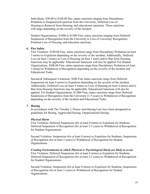Individuals: \$50.00 to \$100.00 fine, status sanctions ranging from Disciplinary Probation to Suspension/Expulsion from the University, Deferred Loss of Housing to Removal from Housing, and educational sanctions. These sanctions will range depending on the severity of the incident.

Student Organizations: \$1000 to \$1500 Fine, status sanctions ranging from Deferred Suspension of Recognition from the University to Loss of University Recognition, Potential Loss of Housing, and education sanctions.

#### **6. Fire Safety**

First Violation: \$100.00 Fine, status sanctions range from Disciplinary Probation (at least 3 terms) to Expulsion depending on the severity of the incident. Additionally, Deferred Loss (at least 3 terms) or Loss of Housing (at least 1 term) and/or Ban from Housing Sanctions may be applicable. Educational Sanctions will also be applied. For Student Organizations, \$500.00 Fine, status sanctions range from Disciplinary Probation (at least 3 terms) to Withdrawal of Recognition depending on the severity of the incident and Educational Tasks.

Second & Subsequent Violations: \$200 Fine status sanctions range from Deferred Suspension (at least 4 terms) to Expulsion depending on the severity of the incident. Additionally, Deferred Loss (at least 4 terms) or Loss of Housing (at least 4 terms) and/or Ban from Housing Sanctions may be applicable. Educational Sanctions will also be applied. For Student Organizations, \$1,000 Fine, status sanctions range from Deferred Suspension of Recognition from the University (1-5 years) to Withdrawal of Recognition depending on the severity of the incident and Educational Tasks.

#### **7. Hazing**

In accordance with The Timothy J. Piazza Anti-Hazing Law have been designated as guidelines for Hazing, Aggravated Hazing, Organizational Hazing.

#### *Physical Harm*

First Violation: Deferred Suspension (for at least 8 terms) to Expulsion for Students; Deferred Suspension of Recognition (for at least 2-5 years) to Withdrawal of Recognition for Student Organizations

Second Violation: Suspension (for at least 8 terms) to Expulsion for Students; Suspension of Recognition (for at least 5 years) to Withdrawal of Recognition for Student Organizations

*Creating Environments in which Physical or Psychological Harm are likely to occur*  First Violation: Deferred Suspension (for at least 8 terms) to Expulsion for Students; Deferred Suspension of Recognition (for at least 2-5 years) to Withdrawal of Recognition for Student Organizations

Second Violation: Suspension (for at least 8 terms) to Expulsion for Students; Suspension of Recognition (for at least 5 years) to Withdrawal of Recognition for Student **Organizations**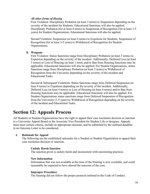#### *All other forms of Hazing*

First Violation: Disciplinary Probation (at least 3 terms) to Suspension depending on the severity of the incident for Students. Educational Sanctions will also be applied. Disciplinary Probation (for at least 4 terms) to Suspension of Recognition (for at least 1-5 years) for Student Organizations. Educational Sanctions will also be applied.

Second Violation: Suspension (at least 4 terms) to Expulsion for Students. Suspension of Recognition (for at least 3-5 years) to Withdrawal of Recognition for Student Organizations.

#### **8. Weapons**

First Violation: Status Sanctions range from Disciplinary Probation (at least 3 terms) to Expulsion depending on the severity of the incident. Additionally, Deferred Loss (at least 3 terms) or Loss of Housing (at least 1 term) and/or Ban from Housing Sanctions may be applicable. Educational Sanctions will also be applied. For Student Organizations, status Sanctions range from Disciplinary Probation (at least 3 terms) to Withdrawal of Recognition from the University depending on the severity of the incident and Educational Tasks.

Second & Subsequent Violations: Status Sanctions range from Deferred Suspension (at least 4 terms) to Expulsion depending on the severity of the incident. Additionally, Deferred Loss (at least 4 terms) or Loss of Housing (at least 4 terms) and/or Ban from Housing Sanctions may be applicable. Educational Sanctions will also be applied. For Student Organizations status sanctions range from Deferred Suspension of Recognition from the University (1-5 years) to Withdrawal of Recognition depending on the severity of the incident and Educational Tasks.

# <span id="page-55-0"></span>**Section 12: Appeals Process**

All Students or Student Organizations have the right to appeal their case resolution decision or sanction to a University Appeal Board or the Associate Vice President for Student Life or designee. Appeals must meet certain criteria, include an appropriate rationale, and be submitted by the outlined deadline in an Outcome Letter to be considered.

#### **I. Rationale for Appeal**

The following are the established rationales for a Student or Student Organization to appeal their case resolution decision or sanction.

#### **Unduly Harsh Sanction**

The sanction given is unduly harsh and inconsistent with sanctioning practices.

#### **New Information**

Information that was not available at the time of the Hearing is now available, and could reasonably be expected to have altered the outcome of the case.

#### **Improper Procedure**

The Hearing did not follow the proper protocol outlined in the Code of Conduct.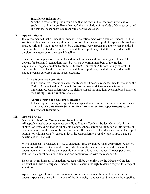#### **Insufficient Information**

Whether a reasonable person could find that the facts in the case were sufficient to establish that it is "more likely than not" that a violation of the Code of Conduct occurred and that the Respondent was responsible for the violation.

#### **II. Appeal Criteria**

It is recommended that a Student or Student Organization meet with a trained Student Conduct Advisor, if they have not already done so, prior to submitting an appeal. All appeals for Students must be written by the Student and not by a third party. Any appeals that are written by a third party will be rejected and will not be reviewed. If an appeal is rejected, the Respondent will not be given an extension on the appeal deadline.

The criteria for appeals is the same for individual Students and Student Organizations. All appeals for Student Organizations must be written by current members of the Student Organization. Appeals written by alumni, Student Organization Advisors, or any other third party will be rejected and will not be reviewed. If an appeal is rejected, the Respondent will not be given an extension on the appeal deadline.

#### A. **Collaborative Resolution**

In Collaborative Resolution cases, the Respondent accepts responsibility for violating the Code of Conduct and the Conduct Case Administrator determines sanctions to be implemented. Respondents have the right to appeal the sanctions decision based solely on the **Unduly Harsh Sanction** rationale.

#### B. **Administrative and University Hearing**

In these types of cases, a Respondent can appeal based on the four rationales previously mentioned (**Unduly Harsh Sanction, New Information, Improper Procedure, or Insufficient Information**).

#### **III. Appeal Process**

#### *(Except for Academic Sanctions and OED Cases)*

All appeals must be submitted electronically to Student Conduct (Student Conduct), via the submission process outlined in all outcome letters. Appeals must be submitted within seven (7) calendar days from the date of the outcome letter. If Student Conduct does not receive the appeal submission within seven (7) calendar days, the Respondent waives the right to appeal and all sanction(s) will be final.

When an appeal is requested, a "stay of sanctions" may be granted when appropriate. A stay of sanctions is defined as the period between the date of the outcome letter and the date of the appeal outcome letter where the imposition of the sanctions is postponed. The postponement will last until the appeal decision is finalized and communicated with the respondent.

Decisions regarding stay of sanctions requests will be determined by the Director of Student Conduct and Care or designee. Student Conduct reserves the right to deny a request for a stay of sanctions.

Appeal Hearings follow a documents-only format, and respondents are not present for the appeal. Appeals are heard by members of the University Conduct Board known as the Appellate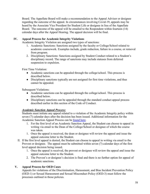Board. The Appellate Board will make a recommendation to the Appeal Advisor or designee regarding the outcome of the appeal. In circumstances involving Covid-19, appeals may be heard by the Associate Vice President for Student Life or designee in lieu of the Appellate Board. The outcome of the appeal will be emailed to the Respondent within fourteen (14) calendar days after the Appeal Hearing. The appeal decision will be final.

#### **IV. Appeal Process for Academic Integrity Violations**

Academic Integrity Violation are assigned two types of sanctions:

- 1. Academic Sanctions: Sanctions assigned by the faculty or College/School related to academic coursework. Examples include, grade reduction, failure in a course, or removal from program.
- 2. Disciplinary Sanctions: Sanctions assigned by Student Conduct related to a Student's disciplinary record. The range of sanctions may include statuses from deferred suspension to expulsion.

First Time Violation:

- Academic sanctions can be appealed through the college/school. This process is described below.
- Disciplinary sanctions typically are not assigned for first time violations, and thus cannot be appealed.

Subsequent Violations:

- Academic sanctions can be appealed through the college/school. This process is described below.
- Disciplinary sanctions can be appealed through the standard conduct appeal process described earlier in this section of the Code of Conduct.

#### *Academic Sanction Appeal Process:*

Students must initiate any appeal related to a violation of the Academic Integrity policy within seven (7) calendar days after the decision has been issued. Additional information for the Academic Sanction Appeal Process can be [found here.](https://drexel.edu/studentlife/community_standards/code-of-conduct/academic-integrity-policy/academic-integrity-conduct-process/)

- 1. For the first level of an Academic Sanction Appeal, the Student can choose to appeal in writing via email to the Dean of the College/School or designee of which the course was taken.
- 1. Once the appeal is received, the dean or designee will review the appeal and issue the appeal outcome letter to the Student.
- II. If the first level appeal is denied, the Student can choose to appeal in writing via email to the Provost or designee. The appeal must be submitted within seven (7) calendar days of the first level appeal decision being issued.
	- 1. Once the appeal is received, the provost or designee will review the appeal and issue the appeal outcome letter to the Student.
	- 2. The Provost's or designee's decision is final and there is no further option for appeal of academic sanctions.

#### **V. Appeal Process for OED Cases**

Appeals for violations of the Discrimination, Harassment, and Bias Incident Prevention Policy (OED-1) or Sexual Harassment and Sexual Misconduct Policy (OED-3) must follow the processes outlined in those policies.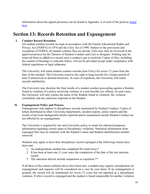Information about the appeal processes can be found in Appendix A of each of the policies [found](https://drexel.edu/oed/policies/overview/) [here.](https://drexel.edu/oed/policies/overview/)

# <span id="page-58-0"></span>**Section 13: Records Retention and Expungement**

#### **I. Conduct Record Retention**

All student conduct records are kept in accordance with the Family Educational Rights and Privacy Act (FERPA) of 1974 and the Clery Act of 1990. Subject to the provisions and exceptions of FERPA, all student conduct files are private. Files may only be reviewed in the approved process by the Director of Student Conduct and Care or designee. Nothing may be removed from or added to a record once a conduct case is resolved. Copies of files, including the content of Hearings or outcome letters, will not be provided except under compliance with federal regulations or legal subpoena.

The University will retain student conduct records (non-Clery) for seven (7) years from the date of the incident. The University reserves the right to keep records for a longer period of time if unresolved or deemed necessary. In cases of expulsion, the University will retain records indefinitely.

The University may disclose the final results of a student conduct proceeding against a Student found in violation of a policy involving violence or a non-forcible sex offense. In such cases, the University will only release the name of the Student found in violation, the violation committed, and any sanctions imposed on the Student.

#### **II. Expungement Policy and Process**

Expungement only applies to disciplinary records maintained by Student Conduct. Copies of letters distributed to other University departments, incident reports, police reports and the results of previous background checks reported and/or maintained outside Student Conduct are not affected by an expungement.

The University is required by law and University policy to retain for statistical purposes information regarding certain types of disciplinary violations. Statistical information from expunged files may be retained, with the Student's name and Student identification number removed.

Students may apply to have their disciplinary record expunged if the following criteria have been met:

- 1. An undergraduate student has completed 96 credit hours.\*
- 2. It has been at least one (1) year since the completion of the date of the last sanction issued.
- 3. The sanctions did not include suspension or expulsion.\*\*

If all three of the criteria outlined above have been met, a student may request consideration for expungement and requests will be considered on a case by case basis. If an expungement is granted, the record will be maintained for seven (7) years but not reported as a disciplinary violation. If after a record is expunged and the student is found responsible for another violation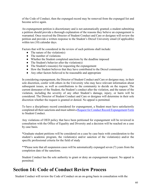of the Code of Conduct, then the expunged record may be removed from the expunged list and become active again.

An expungement petition is discretionary and is not automatically granted; a student submitting a petition should provide a thorough explanation of the reasons they believe an expungement is warranted. Once received the Director of Student Conduct and Care or designee will review the petition and provide a written response to the Student's Drexel University email (if applicable) within ten (10) calendar days.

Factors that will be considered in the review of such petitions shall include:

- $\bullet$  The nature of the violation(s)
- The number of violations
- Whether the Student completed sanctions by the deadline imposed
- The Student's behavior after the violation(s)
- The Student's reason(s) for requesting the expungement
- How the Student believes that they have contributed to the Drexel community
- Any other factors believed to be reasonable and appropriate

In considering expungement, the Director of Student Conduct and Care or designee may, in their sole discretion, confer with others in the University who may have relevant information about subsequent issues, as well as contributions to the community to decide on the request. The current demeanor of the Student, the Student's conduct after the violation, and the nature of the violation, including the severity of any other Student's damage, injury, or harm will be considered. The Director of Student Conduct and Care or designee will determine in their sole discretion whether the request is granted or denied. No appeal is permitted.

To have a disciplinary record considered for expungement, a Student must have satisfactorily completed all their sanctions and must submit [a Request for Conduct Record Expungement](https://drexel.qualtrics.com/jfe/form/SV_bQS1sgojHhh1v7L) [Form](https://drexel.qualtrics.com/jfe/form/SV_bQS1sgojHhh1v7L) to Student Conduct.

Any violations of OED policy that have been petitioned for expungement will be reviewed in consultation with the Office of Equality and Diversity and a decision will be reached on a case by case basis.

\*Graduate student petitions will be considered on a case by case basis with consideration to the student's academic program, the violation(s) and/or sanction of the violation(s) and/or the specific professional criteria for the field of study

\*\*Please note that all suspension cases will be automatically expunged seven (7) years from the completion date of the sanctions.

Student Conduct has the sole authority to grant or deny an expungement request. No appeal is permitted.

# <span id="page-59-0"></span>**Section 14: Code of Conduct Review Process**

Student Conduct will review the Code of Conduct on an on-going basis in consultation with the